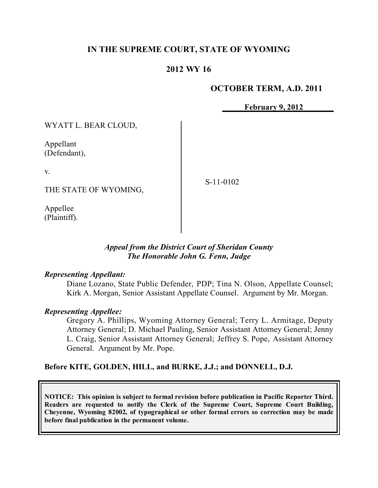### **IN THE SUPREME COURT, STATE OF WYOMING**

### **2012 WY 16**

#### **OCTOBER TERM, A.D. 2011**

**February 9, 2012**

WYATT L. BEAR CLOUD,

Appellant (Defendant),

v.

THE STATE OF WYOMING,

S-11-0102

Appellee (Plaintiff).

#### *Appeal from the District Court of Sheridan County The Honorable John G. Fenn, Judge*

#### *Representing Appellant:*

Diane Lozano, State Public Defender, PDP; Tina N. Olson, Appellate Counsel; Kirk A. Morgan, Senior Assistant Appellate Counsel. Argument by Mr. Morgan.

#### *Representing Appellee:*

Gregory A. Phillips, Wyoming Attorney General; Terry L. Armitage, Deputy Attorney General; D. Michael Pauling, Senior Assistant Attorney General; Jenny L. Craig, Senior Assistant Attorney General; Jeffrey S. Pope, Assistant Attorney General. Argument by Mr. Pope.

### **Before KITE, GOLDEN, HILL, and BURKE, J.J.; and DONNELL, D.J.**

**NOTICE: This opinion is subject to formal revision before publication in Pacific Reporter Third. Readers are requested to notify the Clerk of the Supreme Court, Supreme Court Building, Cheyenne, Wyoming 82002, of typographical or other formal errors so correction may be made before final publication in the permanent volume.**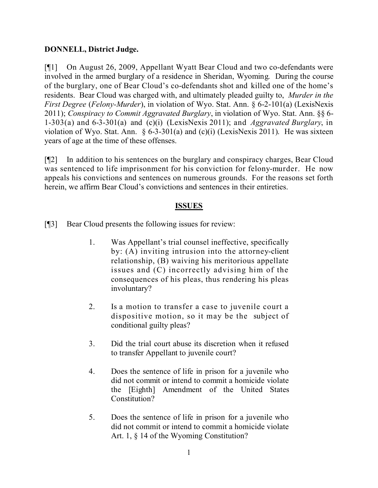### **DONNELL, District Judge.**

[¶1] On August 26, 2009, Appellant Wyatt Bear Cloud and two co-defendants were involved in the armed burglary of a residence in Sheridan, Wyoming. During the course of the burglary, one of Bear Cloud's co-defendants shot and killed one of the home's residents. Bear Cloud was charged with, and ultimately pleaded guilty to, *Murder in the First Degree* (*Felony-Murder*), in violation of Wyo. Stat. Ann. § 6-2-101(a) (LexisNexis 2011); *Conspiracy to Commit Aggravated Burglary*, in violation of Wyo. Stat. Ann. §§ 6- 1-303(a) and 6-3-301(a) and (c)(i) (LexisNexis 2011); and *Aggravated Burglary*, in violation of Wyo. Stat. Ann. § 6-3-301(a) and (c)(i) (LexisNexis 2011). He was sixteen years of age at the time of these offenses.

[¶2] In addition to his sentences on the burglary and conspiracy charges, Bear Cloud was sentenced to life imprisonment for his conviction for felony-murder. He now appeals his convictions and sentences on numerous grounds. For the reasons set forth herein, we affirm Bear Cloud's convictions and sentences in their entireties.

### **ISSUES**

[¶3] Bear Cloud presents the following issues for review:

- 1. Was Appellant's trial counsel ineffective, specifically by: (A) inviting intrusion into the attorney-client relationship, (B) waiving his meritorious appellate issues and (C) incorrectly advising him of the consequences of his pleas, thus rendering his pleas involuntary?
- 2. Is a motion to transfer a case to juvenile court a dispositive motion, so it may be the subject of conditional guilty pleas?
- 3. Did the trial court abuse its discretion when it refused to transfer Appellant to juvenile court?
- 4. Does the sentence of life in prison for a juvenile who did not commit or intend to commit a homicide violate the [Eighth] Amendment of the United States Constitution?
- 5. Does the sentence of life in prison for a juvenile who did not commit or intend to commit a homicide violate Art. 1, § 14 of the Wyoming Constitution?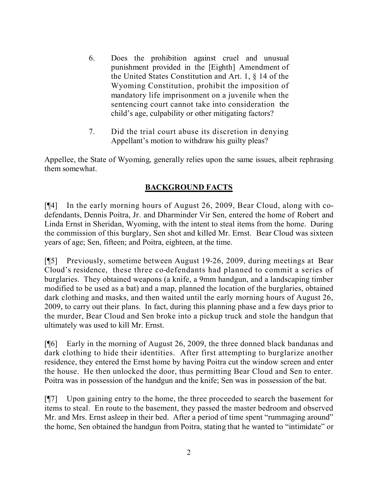- 6. Does the prohibition against cruel and unusual punishment provided in the [Eighth] Amendment of the United States Constitution and Art. 1, § 14 of the Wyoming Constitution, prohibit the imposition of mandatory life imprisonment on a juvenile when the sentencing court cannot take into consideration the child's age, culpability or other mitigating factors?
- 7. Did the trial court abuse its discretion in denying Appellant's motion to withdraw his guilty pleas?

Appellee, the State of Wyoming, generally relies upon the same issues, albeit rephrasing them somewhat.

# **BACKGROUND FACTS**

[¶4] In the early morning hours of August 26, 2009, Bear Cloud, along with codefendants, Dennis Poitra, Jr. and Dharminder Vir Sen, entered the home of Robert and Linda Ernst in Sheridan, Wyoming, with the intent to steal items from the home. During the commission of this burglary, Sen shot and killed Mr. Ernst. Bear Cloud was sixteen years of age; Sen, fifteen; and Poitra, eighteen, at the time.

[¶5] Previously, sometime between August 19-26, 2009, during meetings at Bear Cloud's residence, these three co-defendants had planned to commit a series of burglaries. They obtained weapons (a knife, a 9mm handgun, and a landscaping timber modified to be used as a bat) and a map, planned the location of the burglaries, obtained dark clothing and masks, and then waited until the early morning hours of August 26, 2009, to carry out their plans. In fact, during this planning phase and a few days prior to the murder, Bear Cloud and Sen broke into a pickup truck and stole the handgun that ultimately was used to kill Mr. Ernst.

[¶6] Early in the morning of August 26, 2009, the three donned black bandanas and dark clothing to hide their identities. After first attempting to burglarize another residence, they entered the Ernst home by having Poitra cut the window screen and enter the house. He then unlocked the door, thus permitting Bear Cloud and Sen to enter. Poitra was in possession of the handgun and the knife; Sen was in possession of the bat.

[¶7] Upon gaining entry to the home, the three proceeded to search the basement for items to steal. En route to the basement, they passed the master bedroom and observed Mr. and Mrs. Ernst asleep in their bed. After a period of time spent "rummaging around" the home, Sen obtained the handgun from Poitra, stating that he wanted to "intimidate" or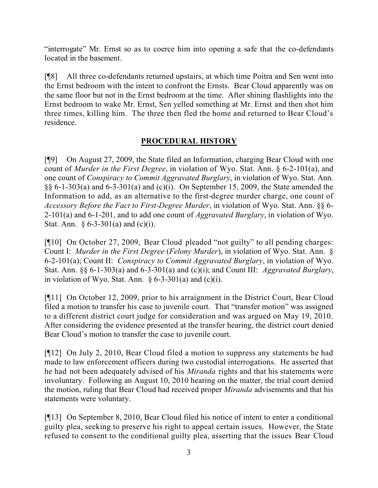"interrogate" Mr. Ernst so as to coerce him into opening a safe that the co-defendants located in the basement.

[¶8] All three co-defendants returned upstairs, at which time Poitra and Sen went into the Ernst bedroom with the intent to confront the Ernsts. Bear Cloud apparently was on the same floor but not in the Ernst bedroom at the time. After shining flashlights into the Ernst bedroom to wake Mr. Ernst, Sen yelled something at Mr. Ernst and then shot him three times, killing him. The three then fled the home and returned to Bear Cloud's residence.

# **PROCEDURAL HISTORY**

[¶9] On August 27, 2009, the State filed an Information, charging Bear Cloud with one count of *Murder in the First Degree*, in violation of Wyo. Stat. Ann. § 6-2-101(a), and one count of *Conspiracy to Commit Aggravated Burglary*, in violation of Wyo. Stat. Ann. §§ 6-1-303(a) and 6-3-301(a) and (c)(i). On September 15, 2009, the State amended the Information to add, as an alternative to the first-degree murder charge, one count of *Accessory Before the Fact to First-Degree Murder*, in violation of Wyo. Stat. Ann. §§ 6- 2-101(a) and 6-1-201, and to add one count of *Aggravated Burglary*, in violation of Wyo. Stat. Ann.  $\S 6-3-301(a)$  and (c)(i).

[¶10] On October 27, 2009, Bear Cloud pleaded "not guilty" to all pending charges: Count I: *Murder in the First Degree* (*Felony Murder*), in violation of Wyo. Stat. Ann. § 6-2-101(a); Count II: *Conspiracy to Commit Aggravated Burglary*, in violation of Wyo. Stat. Ann. §§ 6-1-303(a) and 6-3-301(a) and (c)(i); and Count III: *Aggravated Burglary*, in violation of Wyo. Stat. Ann.  $\S 6-3-301(a)$  and (c)(i).

[¶11] On October 12, 2009, prior to his arraignment in the District Court, Bear Cloud filed a motion to transfer his case to juvenile court. That "transfer motion" was assigned to a different district court judge for consideration and was argued on May 19, 2010. After considering the evidence presented at the transfer hearing, the district court denied Bear Cloud's motion to transfer the case to juvenile court.

[¶12] On July 2, 2010, Bear Cloud filed a motion to suppress any statements he had made to law enforcement officers during two custodial interrogations. He asserted that he had not been adequately advised of his *Miranda* rights and that his statements were involuntary. Following an August 10, 2010 hearing on the matter, the trial court denied the motion, ruling that Bear Cloud had received proper *Miranda* advisements and that his statements were voluntary.

[¶13] On September 8, 2010, Bear Cloud filed his notice of intent to enter a conditional guilty plea, seeking to preserve his right to appeal certain issues. However, the State refused to consent to the conditional guilty plea, asserting that the issues Bear Cloud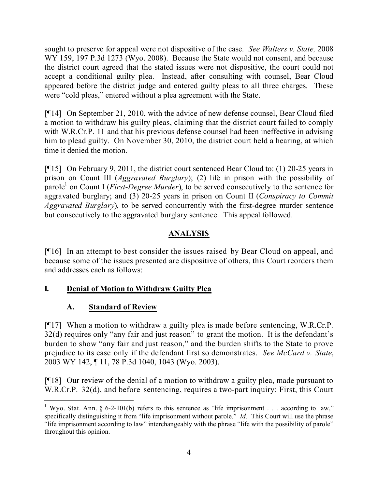sought to preserve for appeal were not dispositive of the case. *See Walters v. State,* 2008 WY 159, 197 P.3d 1273 (Wyo. 2008). Because the State would not consent, and because the district court agreed that the stated issues were not dispositive, the court could not accept a conditional guilty plea. Instead, after consulting with counsel, Bear Cloud appeared before the district judge and entered guilty pleas to all three charges. These were "cold pleas," entered without a plea agreement with the State.

[¶14] On September 21, 2010, with the advice of new defense counsel, Bear Cloud filed a motion to withdraw his guilty pleas, claiming that the district court failed to comply with W.R.Cr.P. 11 and that his previous defense counsel had been ineffective in advising him to plead guilty. On November 30, 2010, the district court held a hearing, at which time it denied the motion.

[¶15] On February 9, 2011, the district court sentenced Bear Cloud to: (1) 20-25 years in prison on Count III (*Aggravated Burglary*); (2) life in prison with the possibility of parole<sup>1</sup> on Count I (*First-Degree Murder*), to be served consecutively to the sentence for aggravated burglary; and (3) 20-25 years in prison on Count II (*Conspiracy to Commit Aggravated Burglary*), to be served concurrently with the first-degree murder sentence but consecutively to the aggravated burglary sentence. This appeal followed.

# **ANALYSIS**

[¶16] In an attempt to best consider the issues raised by Bear Cloud on appeal, and because some of the issues presented are dispositive of others, this Court reorders them and addresses each as follows:

## **I***.* **Denial of Motion to Withdraw Guilty Plea**

## **A. Standard of Review**

[¶17] When a motion to withdraw a guilty plea is made before sentencing, W.R.Cr.P. 32(d) requires only "any fair and just reason" to grant the motion. It is the defendant's burden to show "any fair and just reason," and the burden shifts to the State to prove prejudice to its case only if the defendant first so demonstrates. *See McCard v. State*, 2003 WY 142, ¶ 11, 78 P.3d 1040, 1043 (Wyo. 2003).

[¶18] Our review of the denial of a motion to withdraw a guilty plea, made pursuant to W.R.Cr.P. 32(d), and before sentencing, requires a two-part inquiry: First, this Court

 $\overline{a}$ <sup>1</sup> Wyo. Stat. Ann. § 6-2-101(b) refers to this sentence as "life imprisonment . . . according to law," specifically distinguishing it from "life imprisonment without parole." *Id.* This Court will use the phrase "life imprisonment according to law" interchangeably with the phrase "life with the possibility of parole" throughout this opinion.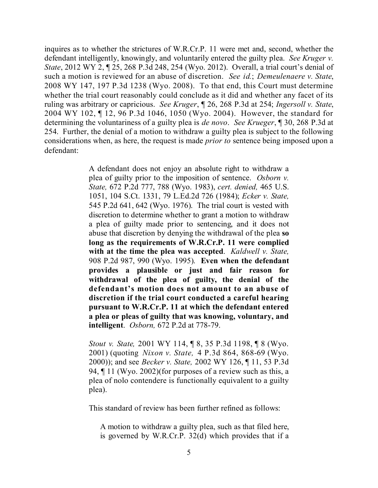inquires as to whether the strictures of W.R.Cr.P. 11 were met and, second, whether the defendant intelligently, knowingly, and voluntarily entered the guilty plea. *See Kruger v. State*, 2012 WY 2, ¶ 25, 268 P.3d 248, 254 (Wyo. 2012). Overall, a trial court's denial of such a motion is reviewed for an abuse of discretion. *See id.*; *Demeulenaere v. State*, 2008 WY 147, 197 P.3d 1238 (Wyo. 2008). To that end, this Court must determine whether the trial court reasonably could conclude as it did and whether any facet of its ruling was arbitrary or capricious. *See Kruger*, ¶ 26, 268 P.3d at 254; *Ingersoll v. State*, 2004 WY 102, ¶ 12, 96 P.3d 1046, 1050 (Wyo. 2004). However, the standard for determining the voluntariness of a guilty plea is *de novo*. *See Krueger*, ¶ 30, 268 P.3d at 254. Further, the denial of a motion to withdraw a guilty plea is subject to the following considerations when, as here, the request is made *prior to* sentence being imposed upon a defendant:

> A defendant does not enjoy an absolute right to withdraw a plea of guilty prior to the imposition of sentence. *Osborn v. State,* 672 P.2d 777, 788 (Wyo. 1983), *cert. denied,* 465 U.S. 1051, 104 S.Ct. 1331, 79 L.Ed.2d 726 (1984); *Ecker v. State,* 545 P.2d 641, 642 (Wyo. 1976). The trial court is vested with discretion to determine whether to grant a motion to withdraw a plea of guilty made prior to sentencing, and it does not abuse that discretion by denying the withdrawal of the plea **so long as the requirements of W.R.Cr.P. 11 were complied with at the time the plea was accepted**. *Kaldwell v. State,* 908 P.2d 987, 990 (Wyo. 1995). **Even when the defendant provides a plausible or just and fair reason for withdrawal of the plea of guilty, the denial of the defendant's motion does not amount to an abuse of discretion if the trial court conducted a careful hearing pursuant to W.R.Cr.P. 11 at which the defendant entered a plea or pleas of guilty that was knowing, voluntary, and intelligent**. *Osborn,* 672 P.2d at 778-79.

> *Stout v. State,* 2001 WY 114, ¶ 8, 35 P.3d 1198, ¶ 8 (Wyo. 2001) (quoting *Nixon v. State,* 4 P.3d 864, 868-69 (Wyo. 2000)); and see *Becker v. State,* 2002 WY 126, ¶ 11, 53 P.3d 94, ¶ 11 (Wyo. 2002)(for purposes of a review such as this, a plea of nolo contendere is functionally equivalent to a guilty plea).

This standard of review has been further refined as follows:

A motion to withdraw a guilty plea, such as that filed here, is governed by W.R.Cr.P. 32(d) which provides that if a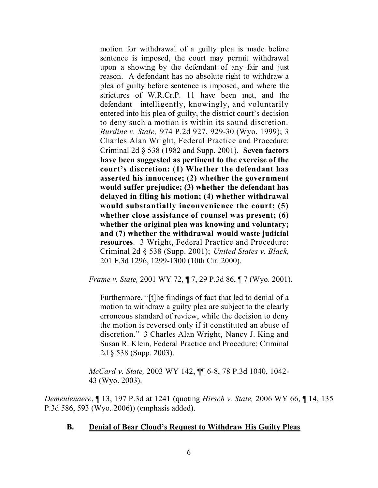motion for withdrawal of a guilty plea is made before sentence is imposed, the court may permit withdrawal upon a showing by the defendant of any fair and just reason. A defendant has no absolute right to withdraw a plea of guilty before sentence is imposed, and where the strictures of W.R.Cr.P. 11 have been met, and the defendant intelligently, knowingly, and voluntarily entered into his plea of guilty, the district court's decision to deny such a motion is within its sound discretion. *Burdine v. State,* 974 P.2d 927, 929-30 (Wyo. 1999); 3 Charles Alan Wright, Federal Practice and Procedure: Criminal 2d § 538 (1982 and Supp. 2001). **Seven factors have been suggested as pertinent to the exercise of the court's discretion: (1) Whether the defendant has asserted his innocence; (2) whether the government would suffer prejudice; (3) whether the defendant has delayed in filing his motion; (4) whether withdrawal would substantially inconvenience the court; (5) whether close assistance of counsel was present; (6) whether the original plea was knowing and voluntary; and (7) whether the withdrawal would waste judicial resources**. 3 Wright, Federal Practice and Procedure: Criminal 2d § 538 (Supp. 2001); *United States v. Black,* 201 F.3d 1296, 1299-1300 (10th Cir. 2000).

*Frame v. State,* 2001 WY 72, ¶ 7, 29 P.3d 86, ¶ 7 (Wyo. 2001).

Furthermore, "[t]he findings of fact that led to denial of a motion to withdraw a guilty plea are subject to the clearly erroneous standard of review, while the decision to deny the motion is reversed only if it constituted an abuse of discretion." 3 Charles Alan Wright, Nancy J. King and Susan R. Klein, Federal Practice and Procedure: Criminal 2d § 538 (Supp. 2003).

*McCard v. State,* 2003 WY 142, ¶¶ 6-8, 78 P.3d 1040, 1042- 43 (Wyo. 2003).

*Demeulenaere*, ¶ 13, 197 P.3d at 1241 (quoting *Hirsch v. State,* 2006 WY 66, ¶ 14, 135 P.3d 586, 593 (Wyo. 2006)) (emphasis added).

### **B. Denial of Bear Cloud's Request to Withdraw His Guilty Pleas**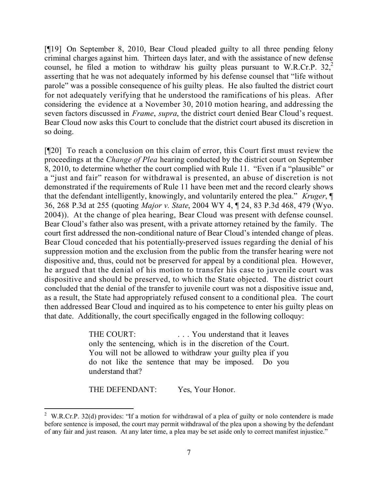[¶19] On September 8, 2010, Bear Cloud pleaded guilty to all three pending felony criminal charges against him. Thirteen days later, and with the assistance of new defense counsel, he filed a motion to withdraw his guilty pleas pursuant to W.R.Cr.P.  $32<sub>1</sub><sup>2</sup>$ asserting that he was not adequately informed by his defense counsel that "life without parole" was a possible consequence of his guilty pleas. He also faulted the district court for not adequately verifying that he understood the ramifications of his pleas. After considering the evidence at a November 30, 2010 motion hearing, and addressing the seven factors discussed in *Frame*, *supra*, the district court denied Bear Cloud's request. Bear Cloud now asks this Court to conclude that the district court abused its discretion in so doing.

[¶20] To reach a conclusion on this claim of error, this Court first must review the proceedings at the *Change of Plea* hearing conducted by the district court on September 8, 2010, to determine whether the court complied with Rule 11. "Even if a "plausible" or a "just and fair" reason for withdrawal is presented, an abuse of discretion is not demonstrated if the requirements of Rule 11 have been met and the record clearly shows that the defendant intelligently, knowingly, and voluntarily entered the plea." *Kruger*, ¶ 36, 268 P.3d at 255 (quoting *Major v. State*, 2004 WY 4, ¶ 24, 83 P.3d 468, 479 (Wyo. 2004)). At the change of plea hearing, Bear Cloud was present with defense counsel. Bear Cloud's father also was present, with a private attorney retained by the family. The court first addressed the non-conditional nature of Bear Cloud's intended change of pleas. Bear Cloud conceded that his potentially-preserved issues regarding the denial of his suppression motion and the exclusion from the public from the transfer hearing were not dispositive and, thus, could not be preserved for appeal by a conditional plea. However, he argued that the denial of his motion to transfer his case to juvenile court was dispositive and should be preserved, to which the State objected. The district court concluded that the denial of the transfer to juvenile court was not a dispositive issue and, as a result, the State had appropriately refused consent to a conditional plea. The court then addressed Bear Cloud and inquired as to his competence to enter his guilty pleas on that date. Additionally, the court specifically engaged in the following colloquy:

> THE COURT: . . . You understand that it leaves only the sentencing, which is in the discretion of the Court. You will not be allowed to withdraw your guilty plea if you do not like the sentence that may be imposed. Do you understand that?

THE DEFENDANT: Yes, Your Honor.

 $\overline{a}$ 

<sup>2</sup> W.R.Cr.P. 32(d) provides: "If a motion for withdrawal of a plea of guilty or nolo contendere is made before sentence is imposed, the court may permit withdrawal of the plea upon a showing by the defendant of any fair and just reason. At any later time, a plea may be set aside only to correct manifest injustice."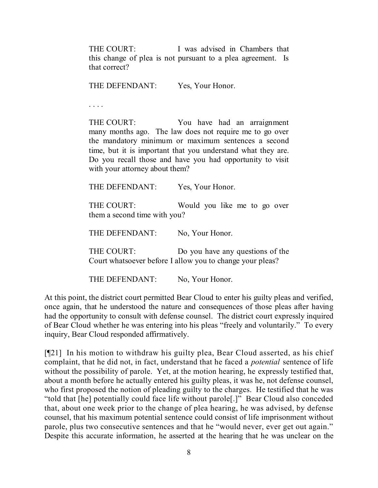THE COURT: I was advised in Chambers that this change of plea is not pursuant to a plea agreement. Is that correct?

THE DEFENDANT: Yes, Your Honor.

. . . .

THE COURT: You have had an arraignment many months ago. The law does not require me to go over the mandatory minimum or maximum sentences a second time, but it is important that you understand what they are. Do you recall those and have you had opportunity to visit with your attorney about them?

THE DEFENDANT: Yes, Your Honor. THE COURT: Would you like me to go over them a second time with you? THE DEFENDANT: No, Your Honor. THE COURT: Do you have any questions of the Court whatsoever before I allow you to change your pleas?

THE DEFENDANT: No, Your Honor.

At this point, the district court permitted Bear Cloud to enter his guilty pleas and verified, once again, that he understood the nature and consequences of those pleas after having had the opportunity to consult with defense counsel. The district court expressly inquired of Bear Cloud whether he was entering into his pleas "freely and voluntarily." To every inquiry, Bear Cloud responded affirmatively.

[¶21] In his motion to withdraw his guilty plea, Bear Cloud asserted, as his chief complaint, that he did not, in fact, understand that he faced a *potential* sentence of life without the possibility of parole. Yet, at the motion hearing, he expressly testified that, about a month before he actually entered his guilty pleas, it was he, not defense counsel, who first proposed the notion of pleading guilty to the charges. He testified that he was "told that [he] potentially could face life without parole[.]" Bear Cloud also conceded that, about one week prior to the change of plea hearing, he was advised, by defense counsel, that his maximum potential sentence could consist of life imprisonment without parole, plus two consecutive sentences and that he "would never, ever get out again." Despite this accurate information, he asserted at the hearing that he was unclear on the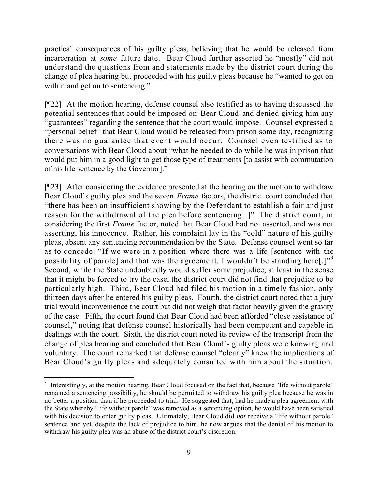practical consequences of his guilty pleas, believing that he would be released from incarceration at *some* future date. Bear Cloud further asserted he "mostly" did not understand the questions from and statements made by the district court during the change of plea hearing but proceeded with his guilty pleas because he "wanted to get on with it and get on to sentencing."

[¶22] At the motion hearing, defense counsel also testified as to having discussed the potential sentences that could be imposed on Bear Cloud and denied giving him any "guarantees" regarding the sentence that the court would impose. Counsel expressed a "personal belief" that Bear Cloud would be released from prison some day, recognizing there was no guarantee that event would occur. Counsel even testified as to conversations with Bear Cloud about "what he needed to do while he was in prison that would put him in a good light to get those type of treatments [to assist with commutation of his life sentence by the Governor]."

[¶23] After considering the evidence presented at the hearing on the motion to withdraw Bear Cloud's guilty plea and the seven *Frame* factors, the district court concluded that "there has been an insufficient showing by the Defendant to establish a fair and just reason for the withdrawal of the plea before sentencing[.]" The district court, in considering the first *Frame* factor, noted that Bear Cloud had not asserted, and was not asserting, his innocence. Rather, his complaint lay in the "cold" nature of his guilty pleas, absent any sentencing recommendation by the State. Defense counsel went so far as to concede: "If we were in a position where there was a life [sentence with the possibility of parole] and that was the agreement, I wouldn't be standing here[.]"<sup>3</sup> Second, while the State undoubtedly would suffer some prejudice, at least in the sense that it might be forced to try the case, the district court did not find that prejudice to be particularly high. Third, Bear Cloud had filed his motion in a timely fashion, only thirteen days after he entered his guilty pleas. Fourth, the district court noted that a jury trial would inconvenience the court but did not weigh that factor heavily given the gravity of the case. Fifth, the court found that Bear Cloud had been afforded "close assistance of counsel," noting that defense counsel historically had been competent and capable in dealings with the court. Sixth, the district court noted its review of the transcript from the change of plea hearing and concluded that Bear Cloud's guilty pleas were knowing and voluntary. The court remarked that defense counsel "clearly" knew the implications of Bear Cloud's guilty pleas and adequately consulted with him about the situation.

 $\overline{a}$ <sup>3</sup> Interestingly, at the motion hearing, Bear Cloud focused on the fact that, because "life without parole" remained a sentencing possibility, he should be permitted to withdraw his guilty plea because he was in no better a position than if he proceeded to trial. He suggested that, had he made a plea agreement with the State whereby "life without parole" was removed as a sentencing option, he would have been satisfied with his decision to enter guilty pleas. Ultimately, Bear Cloud did *not* receive a "life without parole" sentence and yet, despite the lack of prejudice to him, he now argues that the denial of his motion to withdraw his guilty plea was an abuse of the district court's discretion.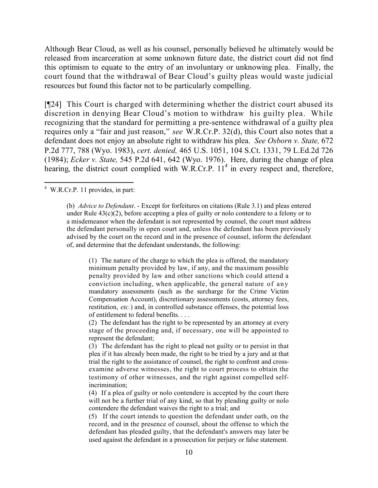Although Bear Cloud, as well as his counsel, personally believed he ultimately would be released from incarceration at some unknown future date, the district court did not find this optimism to equate to the entry of an involuntary or unknowing plea. Finally, the court found that the withdrawal of Bear Cloud's guilty pleas would waste judicial resources but found this factor not to be particularly compelling.

[¶24] This Court is charged with determining whether the district court abused its discretion in denying Bear Cloud's motion to withdraw his guilty plea. While recognizing that the standard for permitting a pre-sentence withdrawal of a guilty plea requires only a "fair and just reason," *see* W.R.Cr.P. 32(d), this Court also notes that a defendant does not enjoy an absolute right to withdraw his plea. *See Osborn v. State,* 672 P.2d 777, 788 (Wyo. 1983), *cert. denied,* 465 U.S. 1051, 104 S.Ct. 1331, 79 L.Ed.2d 726 (1984); *Ecker v. State,* 545 P.2d 641, 642 (Wyo. 1976). Here, during the change of plea hearing, the district court complied with W.R.Cr.P.  $11<sup>4</sup>$  in every respect and, therefore,

(1) The nature of the charge to which the plea is offered, the mandatory minimum penalty provided by law, if any, and the maximum possible penalty provided by law and other sanctions which could attend a conviction including, when applicable, the general nature of any mandatory assessments (such as the surcharge for the Crime Victim Compensation Account), discretionary assessments (costs, attorney fees, restitution, *etc.*) and, in controlled substance offenses, the potential loss of entitlement to federal benefits. . . .

(2) The defendant has the right to be represented by an attorney at every stage of the proceeding and, if necessary, one will be appointed to represent the defendant;

(3) The defendant has the right to plead not guilty or to persist in that plea if it has already been made, the right to be tried by a jury and at that trial the right to the assistance of counsel, the right to confront and crossexamine adverse witnesses, the right to court process to obtain the testimony of other witnesses, and the right against compelled selfincrimination;

(4) If a plea of guilty or nolo contendere is accepted by the court there will not be a further trial of any kind, so that by pleading guilty or nolo contendere the defendant waives the right to a trial; and

(5) If the court intends to question the defendant under oath, on the record, and in the presence of counsel, about the offense to which the defendant has pleaded guilty, that the defendant's answers may later be used against the defendant in a prosecution for perjury or false statement.

 $\overline{a}$ <sup>4</sup> W.R.Cr.P. 11 provides, in part:

<sup>(</sup>b) *Advice to Defendant*. - Except for forfeitures on citations (Rule 3.1) and pleas entered under Rule 43(c)(2), before accepting a plea of guilty or nolo contendere to a felony or to a misdemeanor when the defendant is not represented by counsel, the court must address the defendant personally in open court and, unless the defendant has been previously advised by the court on the record and in the presence of counsel, inform the defendant of, and determine that the defendant understands, the following: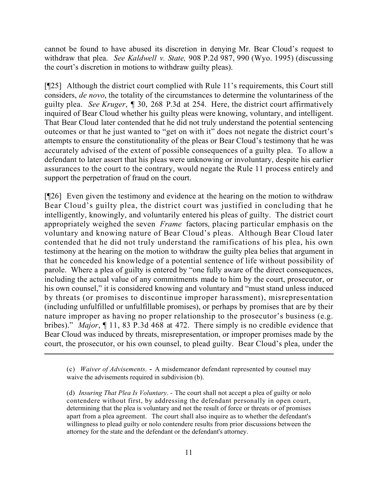cannot be found to have abused its discretion in denying Mr. Bear Cloud's request to withdraw that plea. *See Kaldwell v. State,* 908 P.2d 987, 990 (Wyo. 1995) (discussing the court's discretion in motions to withdraw guilty pleas).

[¶25] Although the district court complied with Rule 11's requirements, this Court still considers, *de novo*, the totality of the circumstances to determine the voluntariness of the guilty plea. *See Kruger*, ¶ 30, 268 P.3d at 254. Here, the district court affirmatively inquired of Bear Cloud whether his guilty pleas were knowing, voluntary, and intelligent. That Bear Cloud later contended that he did not truly understand the potential sentencing outcomes or that he just wanted to "get on with it" does not negate the district court's attempts to ensure the constitutionality of the pleas or Bear Cloud's testimony that he was accurately advised of the extent of possible consequences of a guilty plea. To allow a defendant to later assert that his pleas were unknowing or involuntary, despite his earlier assurances to the court to the contrary, would negate the Rule 11 process entirely and support the perpetration of fraud on the court.

[¶26] Even given the testimony and evidence at the hearing on the motion to withdraw Bear Cloud's guilty plea, the district court was justified in concluding that he intelligently, knowingly, and voluntarily entered his pleas of guilty. The district court appropriately weighed the seven *Frame* factors, placing particular emphasis on the voluntary and knowing nature of Bear Cloud's pleas. Although Bear Cloud later contended that he did not truly understand the ramifications of his plea, his own testimony at the hearing on the motion to withdraw the guilty plea belies that argument in that he conceded his knowledge of a potential sentence of life without possibility of parole. Where a plea of guilty is entered by "one fully aware of the direct consequences, including the actual value of any commitments made to him by the court, prosecutor, or his own counsel," it is considered knowing and voluntary and "must stand unless induced by threats (or promises to discontinue improper harassment), misrepresentation (including unfulfilled or unfulfillable promises), or perhaps by promises that are by their nature improper as having no proper relationship to the prosecutor's business (e.g. bribes)." *Major*, ¶ 11, 83 P.3d 468 at 472. There simply is no credible evidence that Bear Cloud was induced by threats, misrepresentation, or improper promises made by the court, the prosecutor, or his own counsel, to plead guilty. Bear Cloud's plea, under the

<sup>(</sup>c) *Waiver of Advisements*. **-** A misdemeanor defendant represented by counsel may waive the advisements required in subdivision (b).

<sup>(</sup>d) *Insuring That Plea Is Voluntary*. - The court shall not accept a plea of guilty or nolo contendere without first, by addressing the defendant personally in open court, determining that the plea is voluntary and not the result of force or threats or of promises apart from a plea agreement. The court shall also inquire as to whether the defendant's willingness to plead guilty or nolo contendere results from prior discussions between the attorney for the state and the defendant or the defendant's attorney.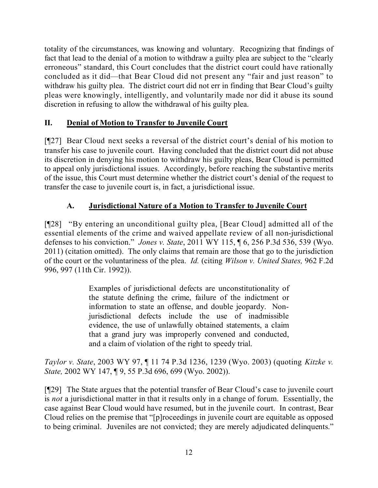totality of the circumstances, was knowing and voluntary. Recognizing that findings of fact that lead to the denial of a motion to withdraw a guilty plea are subject to the "clearly erroneous" standard, this Court concludes that the district court could have rationally concluded as it did—that Bear Cloud did not present any "fair and just reason" to withdraw his guilty plea. The district court did not err in finding that Bear Cloud's guilty pleas were knowingly, intelligently, and voluntarily made nor did it abuse its sound discretion in refusing to allow the withdrawal of his guilty plea.

# **II. Denial of Motion to Transfer to Juvenile Court**

[¶27] Bear Cloud next seeks a reversal of the district court's denial of his motion to transfer his case to juvenile court. Having concluded that the district court did not abuse its discretion in denying his motion to withdraw his guilty pleas, Bear Cloud is permitted to appeal only jurisdictional issues. Accordingly, before reaching the substantive merits of the issue, this Court must determine whether the district court's denial of the request to transfer the case to juvenile court is, in fact, a jurisdictional issue.

# **A. Jurisdictional Nature of a Motion to Transfer to Juvenile Court**

[¶28] "By entering an unconditional guilty plea, [Bear Cloud] admitted all of the essential elements of the crime and waived appellate review of all non-jurisdictional defenses to his conviction." *Jones v. State*, 2011 WY 115, ¶ 6, 256 P.3d 536, 539 (Wyo. 2011) (citation omitted). The only claims that remain are those that go to the jurisdiction of the court or the voluntariness of the plea. *Id.* (citing *Wilson v. United States,* 962 F.2d 996, 997 (11th Cir. 1992)).

> Examples of jurisdictional defects are unconstitutionality of the statute defining the crime, failure of the indictment or information to state an offense, and double jeopardy. Nonjurisdictional defects include the use of inadmissible evidence, the use of unlawfully obtained statements, a claim that a grand jury was improperly convened and conducted, and a claim of violation of the right to speedy trial.

*Taylor v. State*, 2003 WY 97, ¶ 11 74 P.3d 1236, 1239 (Wyo. 2003) (quoting *Kitzke v. State,* 2002 WY 147, ¶ 9, 55 P.3d 696, 699 (Wyo. 2002)).

[¶29] The State argues that the potential transfer of Bear Cloud's case to juvenile court is *not* a jurisdictional matter in that it results only in a change of forum. Essentially, the case against Bear Cloud would have resumed, but in the juvenile court. In contrast, Bear Cloud relies on the premise that "[p]roceedings in juvenile court are equitable as opposed to being criminal. Juveniles are not convicted; they are merely adjudicated delinquents."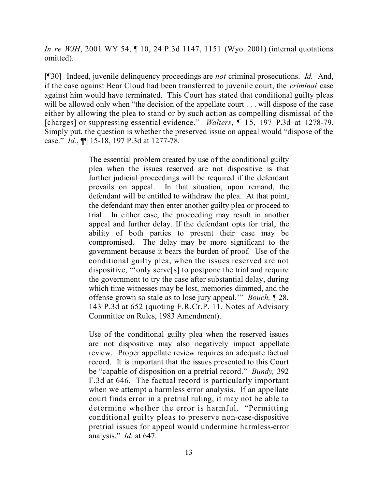*In re WJH*, 2001 WY 54, ¶ 10, 24 P.3d 1147, 1151 (Wyo. 2001) (internal quotations omitted).

[¶30] Indeed, juvenile delinquency proceedings are *not* criminal prosecutions. *Id.* And, if the case against Bear Cloud had been transferred to juvenile court, the *criminal* case against him would have terminated. This Court has stated that conditional guilty pleas will be allowed only when "the decision of the appellate court . . . will dispose of the case either by allowing the plea to stand or by such action as compelling dismissal of the [charges] or suppressing essential evidence." *Walters*, ¶ 15, 197 P.3d at 1278-79. Simply put, the question is whether the preserved issue on appeal would "dispose of the case." *Id.*, ¶¶ 15-18, 197 P.3d at 1277-78.

> The essential problem created by use of the conditional guilty plea when the issues reserved are not dispositive is that further judicial proceedings will be required if the defendant prevails on appeal. In that situation, upon remand, the defendant will be entitled to withdraw the plea. At that point, the defendant may then enter another guilty plea or proceed to trial. In either case, the proceeding may result in another appeal and further delay. If the defendant opts for trial, the ability of both parties to present their case may be compromised. The delay may be more significant to the government because it bears the burden of proof. Use of the conditional guilty plea, when the issues reserved are not dispositive, "'only serve[s] to postpone the trial and require the government to try the case after substantial delay, during which time witnesses may be lost, memories dimmed, and the offense grown so stale as to lose jury appeal.'" *Bouch,* ¶ 28, 143 P.3d at 652 (quoting F.R.Cr.P. 11, Notes of Advisory Committee on Rules, 1983 Amendment).

> Use of the conditional guilty plea when the reserved issues are not dispositive may also negatively impact appellate review. Proper appellate review requires an adequate factual record. It is important that the issues presented to this Court be "capable of disposition on a pretrial record." *Bundy,* 392 F.3d at 646. The factual record is particularly important when we attempt a harmless error analysis. If an appellate court finds error in a pretrial ruling, it may not be able to determine whether the error is harmful. "Permitting conditional guilty pleas to preserve non-case-dispositive pretrial issues for appeal would undermine harmless-error analysis." *Id.* at 647.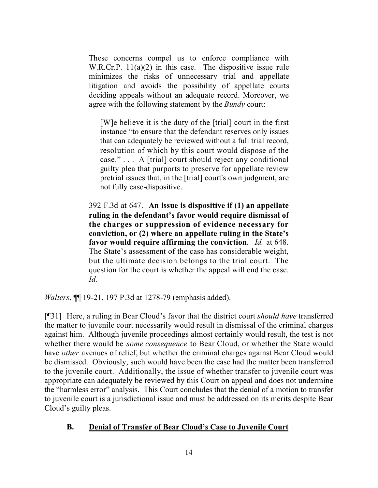These concerns compel us to enforce compliance with W.R.Cr.P. 11(a)(2) in this case. The dispositive issue rule minimizes the risks of unnecessary trial and appellate litigation and avoids the possibility of appellate courts deciding appeals without an adequate record. Moreover, we agree with the following statement by the *Bundy* court:

[W]e believe it is the duty of the [trial] court in the first instance "to ensure that the defendant reserves only issues that can adequately be reviewed without a full trial record, resolution of which by this court would dispose of the case." . . . A [trial] court should reject any conditional guilty plea that purports to preserve for appellate review pretrial issues that, in the [trial] court's own judgment, are not fully case-dispositive.

392 F.3d at 647. **An issue is dispositive if (1) an appellate ruling in the defendant's favor would require dismissal of the charges or suppression of evidence necessary for conviction, or (2) where an appellate ruling in the State's favor would require affirming the conviction**. *Id.* at 648. The State's assessment of the case has considerable weight, but the ultimate decision belongs to the trial court. The question for the court is whether the appeal will end the case. *Id.*

*Walters*, ¶¶ 19-21, 197 P.3d at 1278-79 (emphasis added).

[¶31] Here, a ruling in Bear Cloud's favor that the district court *should have* transferred the matter to juvenile court necessarily would result in dismissal of the criminal charges against him. Although juvenile proceedings almost certainly would result, the test is not whether there would be *some consequence* to Bear Cloud, or whether the State would have *other* avenues of relief, but whether the criminal charges against Bear Cloud would be dismissed. Obviously, such would have been the case had the matter been transferred to the juvenile court. Additionally, the issue of whether transfer to juvenile court was appropriate can adequately be reviewed by this Court on appeal and does not undermine the "harmless error" analysis. This Court concludes that the denial of a motion to transfer to juvenile court is a jurisdictional issue and must be addressed on its merits despite Bear Cloud's guilty pleas.

## **B. Denial of Transfer of Bear Cloud's Case to Juvenile Court**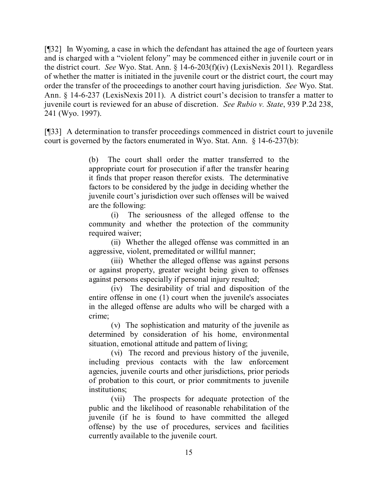[¶32] In Wyoming, a case in which the defendant has attained the age of fourteen years and is charged with a "violent felony" may be commenced either in juvenile court or in the district court. *See* Wyo. Stat. Ann. § 14-6-203(f)(iv) (LexisNexis 2011). Regardless of whether the matter is initiated in the juvenile court or the district court, the court may order the transfer of the proceedings to another court having jurisdiction. *See* Wyo. Stat. Ann. § 14-6-237 (LexisNexis 2011). A district court's decision to transfer a matter to juvenile court is reviewed for an abuse of discretion. *See Rubio v. State*, 939 P.2d 238, 241 (Wyo. 1997).

[¶33] A determination to transfer proceedings commenced in district court to juvenile court is governed by the factors enumerated in Wyo. Stat. Ann. § 14-6-237(b):

> (b) The court shall order the matter transferred to the appropriate court for prosecution if after the transfer hearing it finds that proper reason therefor exists. The determinative factors to be considered by the judge in deciding whether the juvenile court's jurisdiction over such offenses will be waived are the following:

> (i) The seriousness of the alleged offense to the community and whether the protection of the community required waiver;

> (ii) Whether the alleged offense was committed in an aggressive, violent, premeditated or willful manner;

> (iii) Whether the alleged offense was against persons or against property, greater weight being given to offenses against persons especially if personal injury resulted;

> (iv) The desirability of trial and disposition of the entire offense in one (1) court when the juvenile's associates in the alleged offense are adults who will be charged with a crime;

> (v) The sophistication and maturity of the juvenile as determined by consideration of his home, environmental situation, emotional attitude and pattern of living;

> (vi) The record and previous history of the juvenile, including previous contacts with the law enforcement agencies, juvenile courts and other jurisdictions, prior periods of probation to this court, or prior commitments to juvenile institutions;

> (vii) The prospects for adequate protection of the public and the likelihood of reasonable rehabilitation of the juvenile (if he is found to have committed the alleged offense) by the use of procedures, services and facilities currently available to the juvenile court.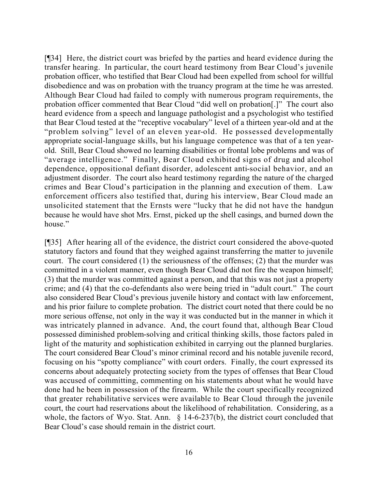[¶34] Here, the district court was briefed by the parties and heard evidence during the transfer hearing. In particular, the court heard testimony from Bear Cloud's juvenile probation officer, who testified that Bear Cloud had been expelled from school for willful disobedience and was on probation with the truancy program at the time he was arrested. Although Bear Cloud had failed to comply with numerous program requirements, the probation officer commented that Bear Cloud "did well on probation[.]" The court also heard evidence from a speech and language pathologist and a psychologist who testified that Bear Cloud tested at the "receptive vocabulary" level of a thirteen year-old and at the "problem solving" level of an eleven year-old. He possessed developmentally appropriate social-language skills, but his language competence was that of a ten yearold. Still, Bear Cloud showed no learning disabilities or frontal lobe problems and was of "average intelligence." Finally, Bear Cloud exhibited signs of drug and alcohol dependence, oppositional defiant disorder, adolescent anti-social behavior, and an adjustment disorder. The court also heard testimony regarding the nature of the charged crimes and Bear Cloud's participation in the planning and execution of them. Law enforcement officers also testified that, during his interview, Bear Cloud made an unsolicited statement that the Ernsts were "lucky that he did not have the handgun because he would have shot Mrs. Ernst, picked up the shell casings, and burned down the house."

[¶35] After hearing all of the evidence, the district court considered the above-quoted statutory factors and found that they weighed against transferring the matter to juvenile court. The court considered (1) the seriousness of the offenses; (2) that the murder was committed in a violent manner, even though Bear Cloud did not fire the weapon himself; (3) that the murder was committed against a person, and that this was not just a property crime; and (4) that the co-defendants also were being tried in "adult court." The court also considered Bear Cloud's previous juvenile history and contact with law enforcement, and his prior failure to complete probation. The district court noted that there could be no more serious offense, not only in the way it was conducted but in the manner in which it was intricately planned in advance. And, the court found that, although Bear Cloud possessed diminished problem-solving and critical thinking skills, those factors paled in light of the maturity and sophistication exhibited in carrying out the planned burglaries. The court considered Bear Cloud's minor criminal record and his notable juvenile record, focusing on his "spotty compliance" with court orders. Finally, the court expressed its concerns about adequately protecting society from the types of offenses that Bear Cloud was accused of committing, commenting on his statements about what he would have done had he been in possession of the firearm. While the court specifically recognized that greater rehabilitative services were available to Bear Cloud through the juvenile court, the court had reservations about the likelihood of rehabilitation. Considering, as a whole, the factors of Wyo. Stat. Ann.  $\frac{14-6-237}{b}$ , the district court concluded that Bear Cloud's case should remain in the district court.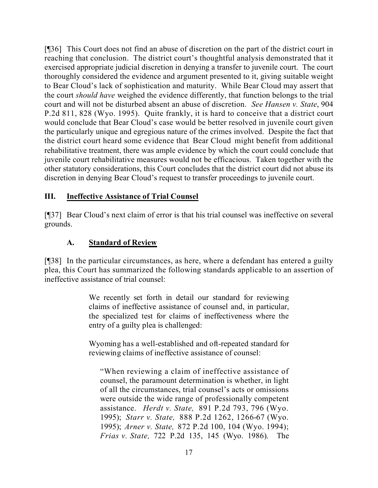[¶36] This Court does not find an abuse of discretion on the part of the district court in reaching that conclusion. The district court's thoughtful analysis demonstrated that it exercised appropriate judicial discretion in denying a transfer to juvenile court. The court thoroughly considered the evidence and argument presented to it, giving suitable weight to Bear Cloud's lack of sophistication and maturity. While Bear Cloud may assert that the court *should have* weighed the evidence differently, that function belongs to the trial court and will not be disturbed absent an abuse of discretion. *See Hansen v. State*, 904 P.2d 811, 828 (Wyo. 1995). Quite frankly, it is hard to conceive that a district court would conclude that Bear Cloud's case would be better resolved in juvenile court given the particularly unique and egregious nature of the crimes involved. Despite the fact that the district court heard some evidence that Bear Cloud might benefit from additional rehabilitative treatment, there was ample evidence by which the court could conclude that juvenile court rehabilitative measures would not be efficacious. Taken together with the other statutory considerations, this Court concludes that the district court did not abuse its discretion in denying Bear Cloud's request to transfer proceedings to juvenile court.

## **III. Ineffective Assistance of Trial Counsel**

[¶37] Bear Cloud's next claim of error is that his trial counsel was ineffective on several grounds.

# **A. Standard of Review**

[¶38] In the particular circumstances, as here, where a defendant has entered a guilty plea, this Court has summarized the following standards applicable to an assertion of ineffective assistance of trial counsel:

> We recently set forth in detail our standard for reviewing claims of ineffective assistance of counsel and, in particular, the specialized test for claims of ineffectiveness where the entry of a guilty plea is challenged:

> Wyoming has a well-established and oft-repeated standard for reviewing claims of ineffective assistance of counsel:

"When reviewing a claim of ineffective assistance of counsel, the paramount determination is whether, in light of all the circumstances, trial counsel's acts or omissions were outside the wide range of professionally competent assistance. *Herdt v. State,* 891 P.2d 793, 796 (Wyo. 1995); *Starr v. State,* 888 P.2d 1262, 1266-67 (Wyo. 1995); *Arner v. State,* 872 P.2d 100, 104 (Wyo. 1994); *Frias v. State,* 722 P.2d 135, 145 (Wyo. 1986). The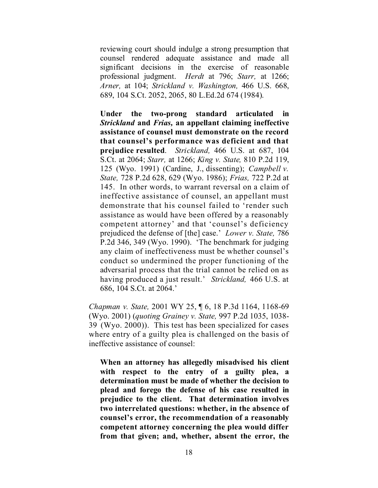reviewing court should indulge a strong presumption that counsel rendered adequate assistance and made all significant decisions in the exercise of reasonable professional judgment. *Herdt* at 796; *Starr,* at 1266; *Arner,* at 104; *Strickland v. Washington,* 466 U.S. 668, 689, 104 S.Ct. 2052, 2065, 80 L.Ed.2d 674 (1984).

**Under the two-prong standard articulated in** *Strickland* **and** *Frias,* **an appellant claiming ineffective assistance of counsel must demonstrate on the record that counsel's performance was deficient and that prejudice resulted**. *Strickland,* 466 U.S. at 687, 104 S.Ct. at 2064; *Starr,* at 1266; *King v. State,* 810 P.2d 119, 125 (Wyo. 1991) (Cardine, J., dissenting); *Campbell v. State,* 728 P.2d 628, 629 (Wyo. 1986); *Frias,* 722 P.2d at 145. In other words, to warrant reversal on a claim of ineffective assistance of counsel, an appellant must demonstrate that his counsel failed to 'render such assistance as would have been offered by a reasonably competent attorney' and that 'counsel's deficiency prejudiced the defense of [the] case.' *Lower v. State,* 786 P.2d 346, 349 (Wyo. 1990). 'The benchmark for judging any claim of ineffectiveness must be whether counsel's conduct so undermined the proper functioning of the adversarial process that the trial cannot be relied on as having produced a just result.' *Strickland,* 466 U.S. at 686, 104 S.Ct. at 2064.'

*Chapman v. State,* 2001 WY 25, ¶ 6, 18 P.3d 1164, 1168-69 (Wyo. 2001) (*quoting Grainey v. State,* 997 P.2d 1035, 1038- 39 (Wyo. 2000)). This test has been specialized for cases where entry of a guilty plea is challenged on the basis of ineffective assistance of counsel:

**When an attorney has allegedly misadvised his client with respect to the entry of a guilty plea, a determination must be made of whether the decision to plead and forego the defense of his case resulted in prejudice to the client. That determination involves two interrelated questions: whether, in the absence of counsel's error, the recommendation of a reasonably competent attorney concerning the plea would differ from that given; and, whether, absent the error, the**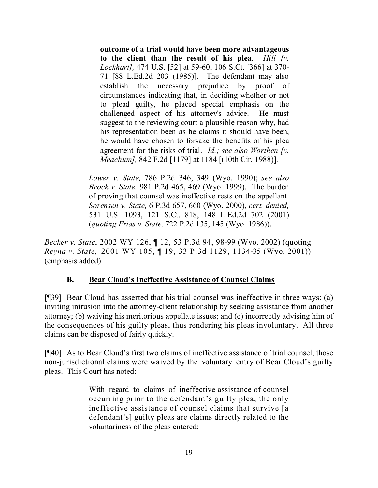**outcome of a trial would have been more advantageous to the client than the result of his plea**. *Hill [v. Lockhart],* 474 U.S. [52] at 59-60, 106 S.Ct. [366] at 370- 71 [88 L.Ed.2d 203 (1985)]. The defendant may also establish the necessary prejudice by proof of circumstances indicating that, in deciding whether or not to plead guilty, he placed special emphasis on the challenged aspect of his attorney's advice. He must suggest to the reviewing court a plausible reason why, had his representation been as he claims it should have been, he would have chosen to forsake the benefits of his plea agreement for the risks of trial. *Id.; see also Worthen [v. Meachum],* 842 F.2d [1179] at 1184 [(10th Cir. 1988)].

*Lower v. State,* 786 P.2d 346, 349 (Wyo. 1990); *see also Brock v. State,* 981 P.2d 465, 469 (Wyo. 1999). The burden of proving that counsel was ineffective rests on the appellant. *Sorensen v. State,* 6 P.3d 657, 660 (Wyo. 2000), *cert. denied,* 531 U.S. 1093, 121 S.Ct. 818, 148 L.Ed.2d 702 (2001) (*quoting Frias v. State,* 722 P.2d 135, 145 (Wyo. 1986)).

*Becker v. State*, 2002 WY 126, ¶ 12, 53 P.3d 94, 98-99 (Wyo. 2002) (quoting *Reyna v. State,* 2001 WY 105, ¶ 19, 33 P.3d 1129, 1134-35 (Wyo. 2001)) (emphasis added).

### **B. Bear Cloud's Ineffective Assistance of Counsel Claims**

[¶39] Bear Cloud has asserted that his trial counsel was ineffective in three ways: (a) inviting intrusion into the attorney-client relationship by seeking assistance from another attorney; (b) waiving his meritorious appellate issues; and (c) incorrectly advising him of the consequences of his guilty pleas, thus rendering his pleas involuntary. All three claims can be disposed of fairly quickly.

[¶40] As to Bear Cloud's first two claims of ineffective assistance of trial counsel, those non-jurisdictional claims were waived by the voluntary entry of Bear Cloud's guilty pleas. This Court has noted:

> With regard to claims of ineffective assistance of counsel occurring prior to the defendant's guilty plea, the only ineffective assistance of counsel claims that survive [a defendant's] guilty pleas are claims directly related to the voluntariness of the pleas entered: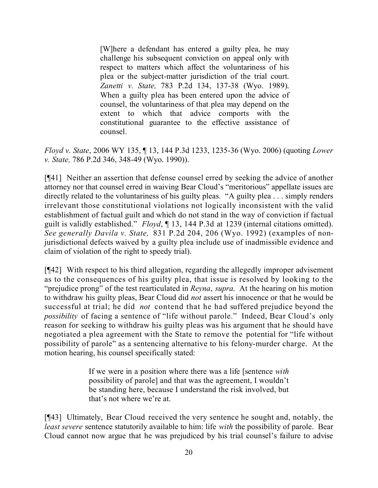[W]here a defendant has entered a guilty plea, he may challenge his subsequent conviction on appeal only with respect to matters which affect the voluntariness of his plea or the subject-matter jurisdiction of the trial court. *Zanetti v. State,* 783 P.2d 134, 137-38 (Wyo. 1989). When a guilty plea has been entered upon the advice of counsel, the voluntariness of that plea may depend on the extent to which that advice comports with the constitutional guarantee to the effective assistance of counsel.

*Floyd v. State*, 2006 WY 135, ¶ 13, 144 P.3d 1233, 1235-36 (Wyo. 2006) (quoting *Lower v. State,* 786 P.2d 346, 348-49 (Wyo. 1990)).

[¶41] Neither an assertion that defense counsel erred by seeking the advice of another attorney nor that counsel erred in waiving Bear Cloud's "meritorious" appellate issues are directly related to the voluntariness of his guilty pleas. "A guilty plea . . . simply renders irrelevant those constitutional violations not logically inconsistent with the valid establishment of factual guilt and which do not stand in the way of conviction if factual guilt is validly established." *Floyd*, ¶ 13, 144 P.3d at 1239 (internal citations omitted). *See generally Davila v. State,* 831 P.2d 204, 206 (Wyo. 1992) (examples of nonjurisdictional defects waived by a guilty plea include use of inadmissible evidence and claim of violation of the right to speedy trial).

[¶42] With respect to his third allegation, regarding the allegedly improper advisement as to the consequences of his guilty plea, that issue is resolved by looking to the "prejudice prong" of the test rearticulated in *Reyna*, *supra*. At the hearing on his motion to withdraw his guilty pleas, Bear Cloud did *not* assert his innocence or that he would be successful at trial; he did *not* contend that he had suffered prejudice beyond the *possibility* of facing a sentence of "life without parole." Indeed, Bear Cloud's only reason for seeking to withdraw his guilty pleas was his argument that he should have negotiated a plea agreement with the State to remove the potential for "life without possibility of parole" as a sentencing alternative to his felony-murder charge. At the motion hearing, his counsel specifically stated:

> If we were in a position where there was a life [sentence *with* possibility of parole] and that was the agreement, I wouldn't be standing here, because I understand the risk involved, but that's not where we're at.

[¶43] Ultimately, Bear Cloud received the very sentence he sought and, notably, the *least severe* sentence statutorily available to him: life *with* the possibility of parole. Bear Cloud cannot now argue that he was prejudiced by his trial counsel's failure to advise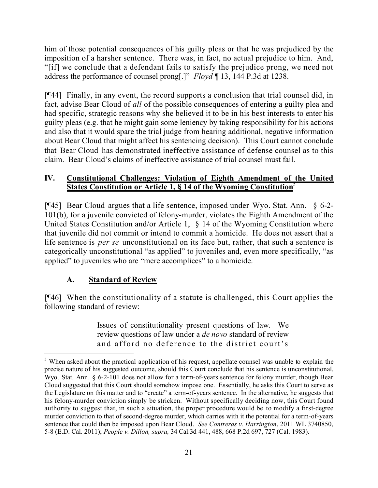him of those potential consequences of his guilty pleas or that he was prejudiced by the imposition of a harsher sentence. There was, in fact, no actual prejudice to him. And, "[if] we conclude that a defendant fails to satisfy the prejudice prong, we need not address the performance of counsel prong[.]" *Floyd* ¶ 13, 144 P.3d at 1238.

[¶44] Finally, in any event, the record supports a conclusion that trial counsel did, in fact, advise Bear Cloud of *all* of the possible consequences of entering a guilty plea and had specific, strategic reasons why she believed it to be in his best interests to enter his guilty pleas (e.g. that he might gain some leniency by taking responsibility for his actions and also that it would spare the trial judge from hearing additional, negative information about Bear Cloud that might affect his sentencing decision). This Court cannot conclude that Bear Cloud has demonstrated ineffective assistance of defense counsel as to this claim. Bear Cloud's claims of ineffective assistance of trial counsel must fail.

### **IV. Constitutional Challenges: Violation of Eighth Amendment of the United States Constitution or Article 1, § 14 of the Wyoming Constitution**<sup>5</sup>

[¶45] Bear Cloud argues that a life sentence, imposed under Wyo. Stat. Ann. § 6-2- 101(b), for a juvenile convicted of felony-murder, violates the Eighth Amendment of the United States Constitution and/or Article 1, § 14 of the Wyoming Constitution where that juvenile did not commit or intend to commit a homicide. He does not assert that a life sentence is *per se* unconstitutional on its face but, rather, that such a sentence is categorically unconstitutional "as applied" to juveniles and, even more specifically, "as applied" to juveniles who are "mere accomplices" to a homicide.

## **A. Standard of Review**

[¶46] When the constitutionality of a statute is challenged, this Court applies the following standard of review:

> Issues of constitutionality present questions of law. We review questions of law under a *de novo* standard of review and afford no deference to the district court's

<sup>&</sup>lt;sup>5</sup> When asked about the practical application of his request, appellate counsel was unable to explain the precise nature of his suggested outcome, should this Court conclude that his sentence is unconstitutional. Wyo. Stat. Ann. § 6-2-101 does not allow for a term-of-years sentence for felony murder, though Bear Cloud suggested that this Court should somehow impose one. Essentially, he asks this Court to serve as the Legislature on this matter and to "create" a term-of-years sentence. In the alternative, he suggests that his felony-murder conviction simply be stricken. Without specifically deciding now, this Court found authority to suggest that, in such a situation, the proper procedure would be to modify a first-degree murder conviction to that of second-degree murder, which carries with it the potential for a term-of-years sentence that could then be imposed upon Bear Cloud. *See Contreras v. Harrington*, 2011 WL 3740850, 5-8 (E.D. Cal. 2011); *People v. Dillon, supra,* 34 Cal.3d 441, 488, 668 P.2d 697, 727 (Cal. 1983).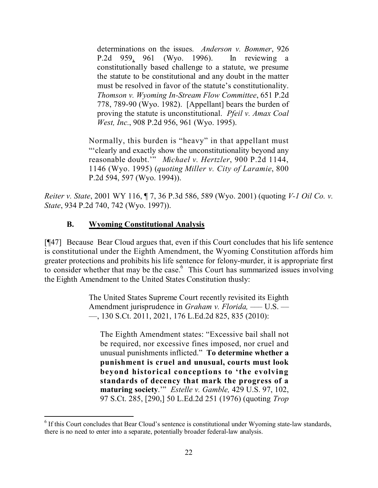determinations on the issues. *Anderson v. Bommer*, 926 P.2d 959, 961 (Wyo. 1996). In reviewing a constitutionally based challenge to a statute, we presume the statute to be constitutional and any doubt in the matter must be resolved in favor of the statute's constitutionality. *Thomson v. Wyoming In-Stream Flow Committee*, 651 P.2d 778, 789-90 (Wyo. 1982). [Appellant] bears the burden of proving the statute is unconstitutional. *Pfeil v. Amax Coal West, Inc.*, 908 P.2d 956, 961 (Wyo. 1995).

Normally, this burden is "heavy" in that appellant must "'clearly and exactly show the unconstitutionality beyond any reasonable doubt.'" *Michael v. Hertzler*, 900 P.2d 1144, 1146 (Wyo. 1995) (*quoting Miller v. City of Laramie*, 800 P.2d 594, 597 (Wyo. 1994)).

*Reiter v. State*, 2001 WY 116, ¶ 7, 36 P.3d 586, 589 (Wyo. 2001) (quoting *V-1 Oil Co. v. State*, 934 P.2d 740, 742 (Wyo. 1997)).

## **B. Wyoming Constitutional Analysis**

[¶47] Because Bear Cloud argues that, even if this Court concludes that his life sentence is constitutional under the Eighth Amendment, the Wyoming Constitution affords him greater protections and prohibits his life sentence for felony-murder, it is appropriate first to consider whether that may be the case.<sup>6</sup> This Court has summarized issues involving the Eighth Amendment to the United States Constitution thusly:

> The United States Supreme Court recently revisited its Eighth Amendment jurisprudence in *Graham v. Florida,* ––– U.S. –– ––, 130 S.Ct. 2011, 2021, 176 L.Ed.2d 825, 835 (2010):

The Eighth Amendment states: "Excessive bail shall not be required, nor excessive fines imposed, nor cruel and unusual punishments inflicted." **To determine whether a punishment is cruel and unusual, courts must look beyond historical conceptions to 'the evolving standards of decency that mark the progress of a maturing society**.'" *Estelle v. Gamble,* 429 U.S. 97, 102, 97 S.Ct. 285, [290,] 50 L.Ed.2d 251 (1976) (quoting *Trop* 

 <sup>6</sup> If this Court concludes that Bear Cloud's sentence is constitutional under Wyoming state-law standards, there is no need to enter into a separate, potentially broader federal-law analysis.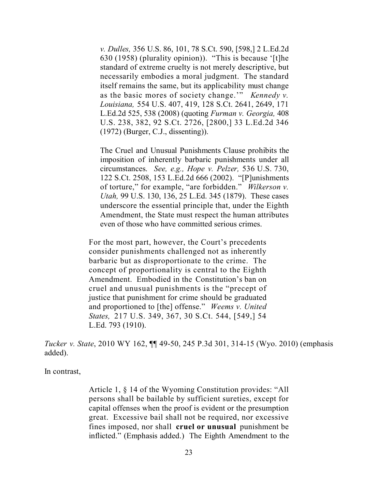*v. Dulles,* 356 U.S. 86, 101, 78 S.Ct. 590, [598,] 2 L.Ed.2d 630 (1958) (plurality opinion)). "This is because '[t]he standard of extreme cruelty is not merely descriptive, but necessarily embodies a moral judgment. The standard itself remains the same, but its applicability must change as the basic mores of society change.'" *Kennedy v. Louisiana,* 554 U.S. 407, 419, 128 S.Ct. 2641, 2649, 171 L.Ed.2d 525, 538 (2008) (quoting *Furman v. Georgia,* 408 U.S. 238, 382, 92 S.Ct. 2726, [2800,] 33 L.Ed.2d 346 (1972) (Burger, C.J., dissenting)).

The Cruel and Unusual Punishments Clause prohibits the imposition of inherently barbaric punishments under all circumstances. *See, e.g., Hope v. Pelzer,* 536 U.S. 730, 122 S.Ct. 2508, 153 L.Ed.2d 666 (2002). "[P]unishments of torture," for example, "are forbidden." *Wilkerson v. Utah,* 99 U.S. 130, 136, 25 L.Ed. 345 (1879). These cases underscore the essential principle that, under the Eighth Amendment, the State must respect the human attributes even of those who have committed serious crimes.

For the most part, however, the Court's precedents consider punishments challenged not as inherently barbaric but as disproportionate to the crime. The concept of proportionality is central to the Eighth Amendment. Embodied in the Constitution's ban on cruel and unusual punishments is the "precept of justice that punishment for crime should be graduated and proportioned to [the] offense." *Weems v. United States,* 217 U.S. 349, 367, 30 S.Ct. 544, [549,] 54 L.Ed. 793 (1910).

*Tucker v. State*, 2010 WY 162, ¶¶ 49-50, 245 P.3d 301, 314-15 (Wyo. 2010) (emphasis added).

In contrast,

Article 1, § 14 of the Wyoming Constitution provides: "All persons shall be bailable by sufficient sureties, except for capital offenses when the proof is evident or the presumption great. Excessive bail shall not be required, nor excessive fines imposed, nor shall **cruel or unusual** punishment be inflicted." (Emphasis added.) The Eighth Amendment to the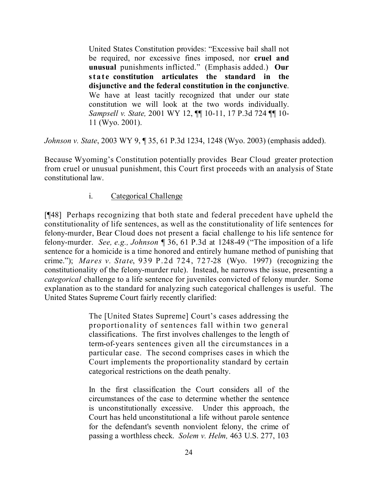United States Constitution provides: "Excessive bail shall not be required, nor excessive fines imposed, nor **cruel and unusual** punishments inflicted." (Emphasis added.) **Our state constitution articulates the standard in the disjunctive and the federal constitution in the conjunctive**. We have at least tacitly recognized that under our state constitution we will look at the two words individually. *Sampsell v. State,* 2001 WY 12, ¶¶ 10-11, 17 P.3d 724 ¶¶ 10- 11 (Wyo. 2001).

*Johnson v. State*, 2003 WY 9, ¶ 35, 61 P.3d 1234, 1248 (Wyo. 2003) (emphasis added).

Because Wyoming's Constitution potentially provides Bear Cloud greater protection from cruel or unusual punishment, this Court first proceeds with an analysis of State constitutional law.

### i. Categorical Challenge

[¶48] Perhaps recognizing that both state and federal precedent have upheld the constitutionality of life sentences, as well as the constitutionality of life sentences for felony-murder, Bear Cloud does not present a facial challenge to his life sentence for felony-murder. *See, e.g., Johnson* ¶ 36, 61 P.3d at 1248-49 ("The imposition of a life sentence for a homicide is a time honored and entirely humane method of punishing that crime."); *Mares v. State*, 939 P.2d 724, 727-28 (Wyo. 1997) (recognizing the constitutionality of the felony-murder rule). Instead, he narrows the issue, presenting a *categorical* challenge to a life sentence for juveniles convicted of felony murder. Some explanation as to the standard for analyzing such categorical challenges is useful. The United States Supreme Court fairly recently clarified:

> The [United States Supreme] Court's cases addressing the proportionality of sentences fall within two general classifications. The first involves challenges to the length of term-of-years sentences given all the circumstances in a particular case. The second comprises cases in which the Court implements the proportionality standard by certain categorical restrictions on the death penalty.

> In the first classification the Court considers all of the circumstances of the case to determine whether the sentence is unconstitutionally excessive. Under this approach, the Court has held unconstitutional a life without parole sentence for the defendant's seventh nonviolent felony, the crime of passing a worthless check. *Solem v. Helm,* 463 U.S. 277, 103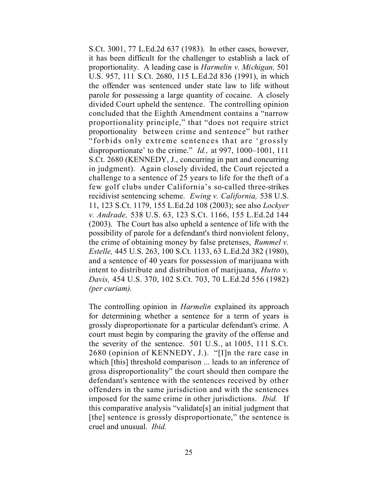S.Ct. 3001, 77 L.Ed.2d 637 (1983). In other cases, however, it has been difficult for the challenger to establish a lack of proportionality. A leading case is *Harmelin v. Michigan,* 501 U.S. 957, 111 S.Ct. 2680, 115 L.Ed.2d 836 (1991), in which the offender was sentenced under state law to life without parole for possessing a large quantity of cocaine. A closely divided Court upheld the sentence. The controlling opinion concluded that the Eighth Amendment contains a "narrow proportionality principle," that "does not require strict proportionality between crime and sentence" but rather "forbids only extreme sentences that are 'grossly disproportionate' to the crime." *Id.,* at 997, 1000–1001, 111 S.Ct. 2680 (KENNEDY, J., concurring in part and concurring in judgment). Again closely divided, the Court rejected a challenge to a sentence of 25 years to life for the theft of a few golf clubs under California's so-called three-strikes recidivist sentencing scheme. *Ewing v. California,* 538 U.S. 11, 123 S.Ct. 1179, 155 L.Ed.2d 108 (2003); see also *Lockyer v. Andrade,* 538 U.S. 63, 123 S.Ct. 1166, 155 L.Ed.2d 144 (2003). The Court has also upheld a sentence of life with the possibility of parole for a defendant's third nonviolent felony, the crime of obtaining money by false pretenses, *Rummel v. Estelle,* 445 U.S. 263, 100 S.Ct. 1133, 63 L.Ed.2d 382 (1980), and a sentence of 40 years for possession of marijuana with intent to distribute and distribution of marijuana, *Hutto v. Davis,* 454 U.S. 370, 102 S.Ct. 703, 70 L.Ed.2d 556 (1982) *(per curiam)*.

The controlling opinion in *Harmelin* explained its approach for determining whether a sentence for a term of years is grossly disproportionate for a particular defendant's crime. A court must begin by comparing the gravity of the offense and the severity of the sentence. 501 U.S., at 1005, 111 S.Ct. 2680 (opinion of KENNEDY, J.). "[I]n the rare case in which [this] threshold comparison ... leads to an inference of gross disproportionality" the court should then compare the defendant's sentence with the sentences received by other offenders in the same jurisdiction and with the sentences imposed for the same crime in other jurisdictions. *Ibid.* If this comparative analysis "validate[s] an initial judgment that [the] sentence is grossly disproportionate," the sentence is cruel and unusual. *Ibid.*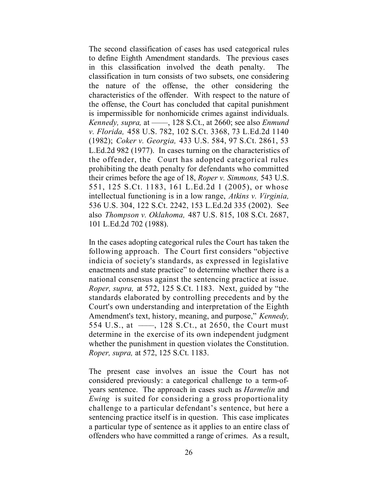The second classification of cases has used categorical rules to define Eighth Amendment standards. The previous cases in this classification involved the death penalty. The classification in turn consists of two subsets, one considering the nature of the offense, the other considering the characteristics of the offender. With respect to the nature of the offense, the Court has concluded that capital punishment is impermissible for nonhomicide crimes against individuals. *Kennedy, supra,* at ––––, 128 S.Ct., at 2660; see also *Enmund v. Florida,* 458 U.S. 782, 102 S.Ct. 3368, 73 L.Ed.2d 1140 (1982); *Coker v. Georgia,* 433 U.S. 584, 97 S.Ct. 2861, 53 L.Ed.2d 982 (1977). In cases turning on the characteristics of the offender, the Court has adopted categorical rules prohibiting the death penalty for defendants who committed their crimes before the age of 18, *Roper v. Simmons,* 543 U.S. 551, 125 S.Ct. 1183, 161 L.Ed.2d 1 (2005), or whose intellectual functioning is in a low range, *Atkins v. Virginia,* 536 U.S. 304, 122 S.Ct. 2242, 153 L.Ed.2d 335 (2002). See also *Thompson v. Oklahoma,* 487 U.S. 815, 108 S.Ct. 2687, 101 L.Ed.2d 702 (1988).

In the cases adopting categorical rules the Court has taken the following approach. The Court first considers "objective indicia of society's standards, as expressed in legislative enactments and state practice" to determine whether there is a national consensus against the sentencing practice at issue. *Roper, supra,* at 572, 125 S.Ct. 1183. Next, guided by "the standards elaborated by controlling precedents and by the Court's own understanding and interpretation of the Eighth Amendment's text, history, meaning, and purpose," *Kennedy,* 554 U.S., at ——, 128 S.Ct., at 2650, the Court must determine in the exercise of its own independent judgment whether the punishment in question violates the Constitution. *Roper, supra,* at 572, 125 S.Ct. 1183.

The present case involves an issue the Court has not considered previously: a categorical challenge to a term-ofyears sentence. The approach in cases such as *Harmelin* and *Ewing* is suited for considering a gross proportionality challenge to a particular defendant's sentence, but here a sentencing practice itself is in question. This case implicates a particular type of sentence as it applies to an entire class of offenders who have committed a range of crimes. As a result,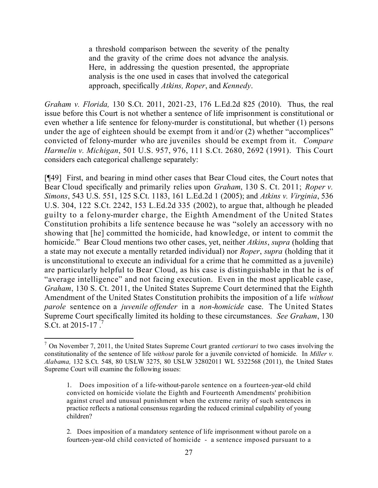a threshold comparison between the severity of the penalty and the gravity of the crime does not advance the analysis. Here, in addressing the question presented, the appropriate analysis is the one used in cases that involved the categorical approach, specifically *Atkins, Roper*, and *Kennedy*.

*Graham v. Florida,* 130 S.Ct. 2011, 2021-23, 176 L.Ed.2d 825 (2010). Thus, the real issue before this Court is not whether a sentence of life imprisonment is constitutional or even whether a life sentence for felony-murder is constitutional, but whether (1) persons under the age of eighteen should be exempt from it and/or (2) whether "accomplices" convicted of felony-murder who are juveniles should be exempt from it. *Compare Harmelin v. Michigan*, 501 U.S. 957, 976, 111 S.Ct. 2680, 2692 (1991). This Court considers each categorical challenge separately:

[¶49] First, and bearing in mind other cases that Bear Cloud cites, the Court notes that Bear Cloud specifically and primarily relies upon *Graham*, 130 S. Ct. 2011; *Roper v. Simons*, 543 U.S. 551, 125 S.Ct. 1183, 161 L.Ed.2d 1 (2005); and *Atkins v. Virginia*, 536 U.S. 304, 122 S.Ct. 2242, 153 L.Ed.2d 335 (2002), to argue that, although he pleaded guilty to a felony-murder charge, the Eighth Amendment of the United States Constitution prohibits a life sentence because he was "solely an accessory with no showing that [he] committed the homicide, had knowledge, or intent to commit the homicide." Bear Cloud mentions two other cases, yet, neither *Atkins*, *supra* (holding that a state may not execute a mentally retarded individual) nor *Roper*, *supra* (holding that it is unconstitutional to execute an individual for a crime that he committed as a juvenile) are particularly helpful to Bear Cloud, as his case is distinguishable in that he is of "average intelligence" and not facing execution. Even in the most applicable case, *Graham*, 130 S. Ct. 2011, the United States Supreme Court determined that the Eighth Amendment of the United States Constitution prohibits the imposition of a life *without parole* sentence on a *juvenile offender* in a *non-homicide* case. The United States Supreme Court specifically limited its holding to these circumstances. *See Graham*, 130 S.Ct. at 2015-17.<sup>7</sup>

 $\overline{a}$ 

<sup>7</sup> On November 7, 2011, the United States Supreme Court granted *certiorari* to two cases involving the constitutionality of the sentence of life *without* parole for a juvenile convicted of homicide. In *Miller v. Alabama,* 132 S.Ct. 548, 80 USLW 3275, 80 USLW 32802011 WL 5322568 (2011), the United States Supreme Court will examine the following issues:

<sup>1.</sup> Does imposition of a life-without-parole sentence on a fourteen-year-old child convicted on homicide violate the Eighth and Fourteenth Amendments' prohibition against cruel and unusual punishment when the extreme rarity of such sentences in practice reflects a national consensus regarding the reduced criminal culpability of young children?

<sup>2.</sup> Does imposition of a mandatory sentence of life imprisonment without parole on a fourteen-year-old child convicted of homicide - a sentence imposed pursuant to a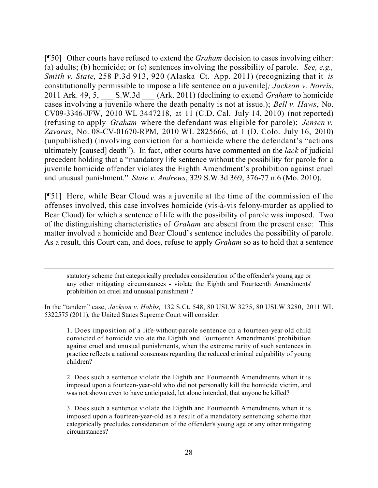[¶50] Other courts have refused to extend the *Graham* decision to cases involving either: (a) adults; (b) homicide; or (c) sentences involving the possibility of parole. *See, e.g., Smith v. State*, 258 P.3d 913, 920 (Alaska Ct. App. 2011) (recognizing that it *is* constitutionally permissible to impose a life sentence on a juvenile]*; Jackson v. Norris*, 2011 Ark. 49, 5, \_\_\_ S.W.3d \_\_\_ (Ark. 2011) (declining to extend *Graham* to homicide cases involving a juvenile where the death penalty is not at issue.); *Bell v. Haws*, No. CV09-3346-JFW, 2010 WL 3447218, at 11 (C.D. Cal. July 14, 2010) (not reported) (refusing to apply *Graham* where the defendant was eligible for parole); *Jensen v. Zavaras*, No. 08-CV-01670-RPM, 2010 WL 2825666, at 1 (D. Colo. July 16, 2010) (unpublished) (involving conviction for a homicide where the defendant's "actions ultimately [caused] death"). In fact, other courts have commented on the *lack* of judicial precedent holding that a "mandatory life sentence without the possibility for parole for a juvenile homicide offender violates the Eighth Amendment's prohibition against cruel and unusual punishment." *State v. Andrews*, 329 S.W.3d 369, 376-77 n.6 (Mo. 2010).

[¶51] Here, while Bear Cloud was a juvenile at the time of the commission of the offenses involved, this case involves homicide (vis-à-vis felony-murder as applied to Bear Cloud) for which a sentence of life with the possibility of parole was imposed. Two of the distinguishing characteristics of *Graham* are absent from the present case: This matter involved a homicide and Bear Cloud's sentence includes the possibility of parole. As a result, this Court can, and does, refuse to apply *Graham* so as to hold that a sentence

statutory scheme that categorically precludes consideration of the offender's young age or any other mitigating circumstances - violate the Eighth and Fourteenth Amendments' prohibition on cruel and unusual punishment ?

 $\overline{a}$ 

In the "tandem" case, *Jackson v. Hobbs,* 132 S.Ct. 548, 80 USLW 3275, 80 USLW 3280, 2011 WL 5322575 (2011), the United States Supreme Court will consider:

1. Does imposition of a life-without-parole sentence on a fourteen-year-old child convicted of homicide violate the Eighth and Fourteenth Amendments' prohibition against cruel and unusual punishments, when the extreme rarity of such sentences in practice reflects a national consensus regarding the reduced criminal culpability of young children?

2. Does such a sentence violate the Eighth and Fourteenth Amendments when it is imposed upon a fourteen-year-old who did not personally kill the homicide victim, and was not shown even to have anticipated, let alone intended, that anyone be killed?

3. Does such a sentence violate the Eighth and Fourteenth Amendments when it is imposed upon a fourteen-year-old as a result of a mandatory sentencing scheme that categorically precludes consideration of the offender's young age or any other mitigating circumstances?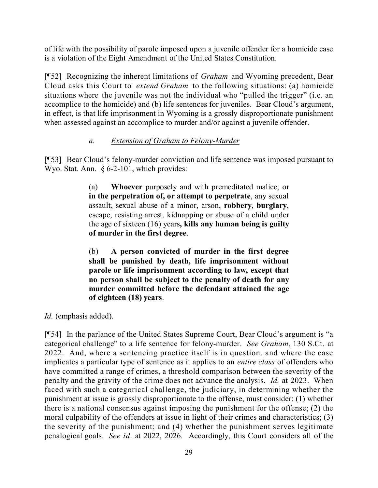of life with the possibility of parole imposed upon a juvenile offender for a homicide case is a violation of the Eight Amendment of the United States Constitution.

[¶52] Recognizing the inherent limitations of *Graham* and Wyoming precedent, Bear Cloud asks this Court to *extend Graham* to the following situations: (a) homicide situations where the juvenile was not the individual who "pulled the trigger" (i.e. an accomplice to the homicide) and (b) life sentences for juveniles. Bear Cloud's argument, in effect, is that life imprisonment in Wyoming is a grossly disproportionate punishment when assessed against an accomplice to murder and/or against a juvenile offender.

# *a. Extension of Graham to Felony-Murder*

[¶53] Bear Cloud's felony-murder conviction and life sentence was imposed pursuant to Wyo. Stat. Ann. § 6-2-101, which provides:

> (a) **Whoever** purposely and with premeditated malice, or **in the perpetration of, or attempt to perpetrate**, any sexual assault, sexual abuse of a minor, arson, **robbery**, **burglary**, escape, resisting arrest, kidnapping or abuse of a child under the age of sixteen (16) years**, kills any human being is guilty of murder in the first degree**.

> (b) **A person convicted of murder in the first degree shall be punished by death, life imprisonment without parole or life imprisonment according to law, except that no person shall be subject to the penalty of death for any murder committed before the defendant attained the age of eighteen (18) years**.

*Id.* (emphasis added).

[¶54] In the parlance of the United States Supreme Court, Bear Cloud's argument is "a categorical challenge" to a life sentence for felony-murder. *See Graham*, 130 S.Ct. at 2022. And, where a sentencing practice itself is in question, and where the case implicates a particular type of sentence as it applies to an *entire class* of offenders who have committed a range of crimes, a threshold comparison between the severity of the penalty and the gravity of the crime does not advance the analysis. *Id.* at 2023. When faced with such a categorical challenge, the judiciary, in determining whether the punishment at issue is grossly disproportionate to the offense, must consider: (1) whether there is a national consensus against imposing the punishment for the offense; (2) the moral culpability of the offenders at issue in light of their crimes and characteristics; (3) the severity of the punishment; and (4) whether the punishment serves legitimate penalogical goals. *See id*. at 2022, 2026. Accordingly, this Court considers all of the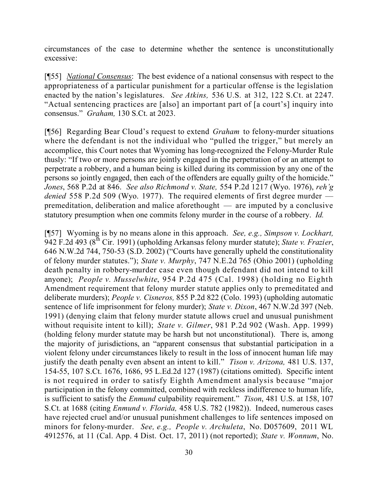circumstances of the case to determine whether the sentence is unconstitutionally excessive:

[¶55] *National Consensus*: The best evidence of a national consensus with respect to the appropriateness of a particular punishment for a particular offense is the legislation enacted by the nation's legislatures. *See Atkins,* 536 U.S. at 312, 122 S.Ct. at 2247. "Actual sentencing practices are [also] an important part of [a court's] inquiry into consensus." *Graham,* 130 S.Ct. at 2023.

[¶56] Regarding Bear Cloud's request to extend *Graham* to felony-murder situations where the defendant is not the individual who "pulled the trigger," but merely an accomplice, this Court notes that Wyoming has long-recognized the Felony-Murder Rule thusly: "If two or more persons are jointly engaged in the perpetration of or an attempt to perpetrate a robbery, and a human being is killed during its commission by any one of the persons so jointly engaged, then each of the offenders are equally guilty of the homicide." *Jones*, 568 P.2d at 846. *See also Richmond v. State,* 554 P.2d 1217 (Wyo. 1976), *reh'g denied* 558 P.2d 509 (Wyo. 1977). The required elements of first degree murder premeditation, deliberation and malice aforethought — are imputed by a conclusive statutory presumption when one commits felony murder in the course of a robbery. *Id.*

[¶57] Wyoming is by no means alone in this approach. *See, e.g., Simpson v. Lockhart,* 942 F.2d 493 (8 th Cir. 1991) (upholding Arkansas felony murder statute); *State v. Frazier*, 646 N.W.2d 744, 750-53 (S.D. 2002) ("Courts have generally upheld the constitutionality of felony murder statutes."); *State v. Murphy*, 747 N.E.2d 765 (Ohio 2001) (upholding death penalty in robbery-murder case even though defendant did not intend to kill anyone); *People v. Musselwhite*, 954 P.2d 475 (Cal. 1998) (holding no Eighth Amendment requirement that felony murder statute applies only to premeditated and deliberate murders); *People v. Cisneros,* 855 P.2d 822 (Colo. 1993) (upholding automatic sentence of life imprisonment for felony murder); *State v. Dixon*, 467 N.W.2d 397 (Neb. 1991) (denying claim that felony murder statute allows cruel and unusual punishment without requisite intent to kill); *State v. Gilmer*, 981 P.2d 902 (Wash. App. 1999) (holding felony murder statute may be harsh but not unconstitutional). There is, among the majority of jurisdictions, an "apparent consensus that substantial participation in a violent felony under circumstances likely to result in the loss of innocent human life may justify the death penalty even absent an intent to kill." *Tison v. Arizona,* 481 U.S. 137, 154-55, 107 S.Ct. 1676, 1686, 95 L.Ed.2d 127 (1987) (citations omitted). Specific intent is not required in order to satisfy Eighth Amendment analysis because "major participation in the felony committed, combined with reckless indifference to human life, is sufficient to satisfy the *Enmund* culpability requirement." *Tison*, 481 U.S. at 158, 107 S.Ct. at 1688 (citing *Enmund v. Florida,* 458 U.S. 782 (1982)). Indeed, numerous cases have rejected cruel and/or unusual punishment challenges to life sentences imposed on minors for felony-murder. *See, e.g., People v. Archuleta*, No. D057609, 2011 WL 4912576, at 11 (Cal. App. 4 Dist. Oct. 17, 2011) (not reported); *State v. Wonnum*, No.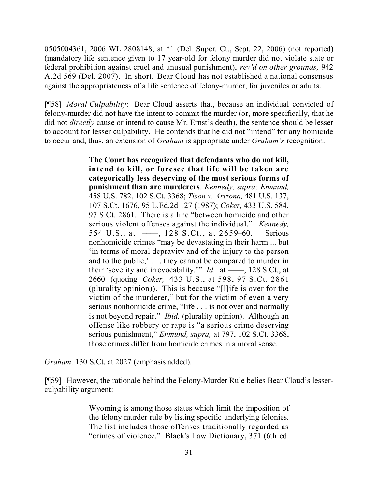0505004361, 2006 WL 2808148, at \*1 (Del. Super. Ct., Sept. 22, 2006) (not reported) (mandatory life sentence given to 17 year-old for felony murder did not violate state or federal prohibition against cruel and unusual punishment), *rev'd on other grounds,* 942 A.2d 569 (Del. 2007). In short, Bear Cloud has not established a national consensus against the appropriateness of a life sentence of felony-murder, for juveniles or adults.

[¶58] *Moral Culpability*: Bear Cloud asserts that, because an individual convicted of felony-murder did not have the intent to commit the murder (or, more specifically, that he did not *directly* cause or intend to cause Mr. Ernst's death), the sentence should be lesser to account for lesser culpability. He contends that he did not "intend" for any homicide to occur and, thus, an extension of *Graham* is appropriate under *Graham's* recognition:

> **The Court has recognized that defendants who do not kill, intend to kill, or foresee that life will be taken are categorically less deserving of the most serious forms of punishment than are murderers**. *Kennedy, supra; Enmund,* 458 U.S. 782, 102 S.Ct. 3368; *Tison v. Arizona,* 481 U.S. 137, 107 S.Ct. 1676, 95 L.Ed.2d 127 (1987); *Coker,* 433 U.S. 584, 97 S.Ct. 2861. There is a line "between homicide and other serious violent offenses against the individual." *Kennedy,* 554 U.S., at ——, 128 S.Ct., at 2659–60. Serious nonhomicide crimes "may be devastating in their harm ... but 'in terms of moral depravity and of the injury to the person and to the public,' . . . they cannot be compared to murder in their 'severity and irrevocability.'" *Id.*, at ——, 128 S.Ct., at 2660 (quoting *Coker,* 433 U.S., at 598, 97 S.Ct. 2861 (plurality opinion)). This is because "[l]ife is over for the victim of the murderer," but for the victim of even a very serious nonhomicide crime, "life . . . is not over and normally is not beyond repair." *Ibid.* (plurality opinion). Although an offense like robbery or rape is "a serious crime deserving serious punishment," *Enmund, supra,* at 797, 102 S.Ct. 3368, those crimes differ from homicide crimes in a moral sense.

*Graham,* 130 S.Ct. at 2027 (emphasis added).

[¶59] However, the rationale behind the Felony-Murder Rule belies Bear Cloud's lesserculpability argument:

> Wyoming is among those states which limit the imposition of the felony murder rule by listing specific underlying felonies. The list includes those offenses traditionally regarded as "crimes of violence." Black's Law Dictionary, 371 (6th ed.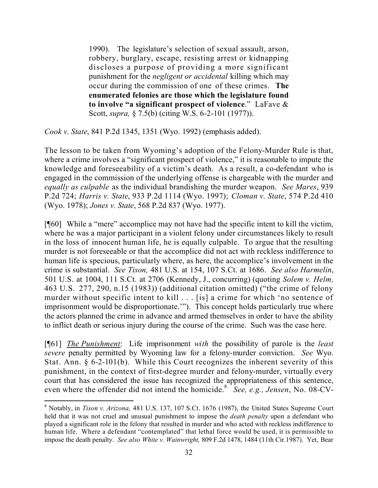1990). The legislature's selection of sexual assault, arson, robbery, burglary, escape, resisting arrest or kidnapping discloses a purpose of providing a more significant punishment for the *negligent or accidental* killing which may occur during the commission of one of these crimes. **The enumerated felonies are those which the legislature found to involve "a significant prospect of violence**." LaFave & Scott, *supra,* § 7.5(b) (citing W.S. 6-2-101 (1977)).

*Cook v. State*, 841 P.2d 1345, 1351 (Wyo. 1992) (emphasis added).

The lesson to be taken from Wyoming's adoption of the Felony-Murder Rule is that, where a crime involves a "significant prospect of violence," it is reasonable to impute the knowledge and foreseeability of a victim's death. As a result, a co-defendant who is engaged in the commission of the underlying offense is chargeable with the murder and *equally as culpable* as the individual brandishing the murder weapon. *See Mares*, 939 P.2d 724; *Harris v. State*, 933 P.2d 1114 (Wyo. 1997); *Cloman v. State*, 574 P.2d 410 (Wyo. 1978); *Jones v. State*, 568 P.2d 837 (Wyo. 1977).

[¶60] While a "mere" accomplice may not have had the specific intent to kill the victim, where he was a major participant in a violent felony under circumstances likely to result in the loss of innocent human life, he is equally culpable. To argue that the resulting murder is not foreseeable or that the accomplice did not act with reckless indifference to human life is specious, particularly where, as here, the accomplice's involvement in the crime is substantial. *See Tison,* 481 U.S. at 154, 107 S.Ct. at 1686. *See also Harmelin*, 501 U.S. at 1004, 111 S.Ct. at 2706 (Kennedy, J., concurring) (quoting *Solem v. Helm,* 463 U.S. 277, 290, n.15 (1983)) (additional citation omitted) ("the crime of felony murder without specific intent to kill . . . [is] a crime for which 'no sentence of imprisonment would be disproportionate.'"). This concept holds particularly true where the actors planned the crime in advance and armed themselves in order to have the ability to inflict death or serious injury during the course of the crime. Such was the case here.

[¶61] *The Punishment*: Life imprisonment *with* the possibility of parole is the *least severe* penalty permitted by Wyoming law for a felony-murder conviction. *See* Wyo. Stat. Ann. § 6-2-101(b). While this Court recognizes the inherent severity of this punishment, in the context of first-degree murder and felony-murder, virtually every court that has considered the issue has recognized the appropriateness of this sentence, even where the offender did not intend the homicide.<sup>8</sup> See, e.g., Jensen, No. 08-CV-

 $\overline{a}$ 

<sup>8</sup> Notably, in *Tison v. Arizona,* 481 U.S. 137, 107 S.Ct. 1676 (1987), the United States Supreme Court held that it was not cruel and unusual punishment to impose the *death penalty* upon a defendant who played a significant role in the felony that resulted in murder and who acted with reckless indifference to human life. Where a defendant "contemplated" that lethal force would be used, it is permissible to impose the death penalty. *See also White v. Wainwright,* 809 F.2d 1478, 1484 (11th Cir.1987). Yet, Bear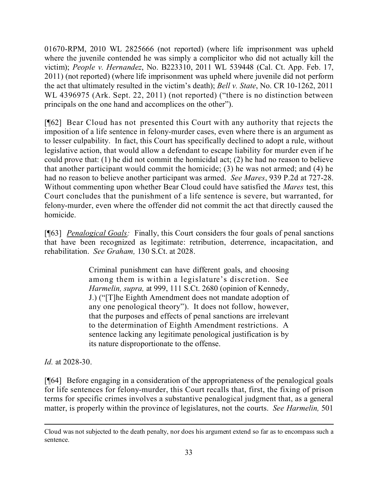01670-RPM, 2010 WL 2825666 (not reported) (where life imprisonment was upheld where the juvenile contended he was simply a complicitor who did not actually kill the victim); *People v. Hernandez*, No. B223310, 2011 WL 539448 (Cal. Ct. App. Feb. 17, 2011) (not reported) (where life imprisonment was upheld where juvenile did not perform the act that ultimately resulted in the victim's death); *Bell v. State*, No. CR 10-1262, 2011 WL 4396975 (Ark. Sept. 22, 2011) (not reported) ("there is no distinction between principals on the one hand and accomplices on the other").

[¶62] Bear Cloud has not presented this Court with any authority that rejects the imposition of a life sentence in felony-murder cases, even where there is an argument as to lesser culpability. In fact, this Court has specifically declined to adopt a rule, without legislative action, that would allow a defendant to escape liability for murder even if he could prove that: (1) he did not commit the homicidal act; (2) he had no reason to believe that another participant would commit the homicide; (3) he was not armed; and (4) he had no reason to believe another participant was armed. *See Mares*, 939 P.2d at 727-28. Without commenting upon whether Bear Cloud could have satisfied the *Mares* test, this Court concludes that the punishment of a life sentence is severe, but warranted, for felony-murder, even where the offender did not commit the act that directly caused the homicide.

[¶63] *Penalogical Goals:* Finally, this Court considers the four goals of penal sanctions that have been recognized as legitimate: retribution, deterrence, incapacitation, and rehabilitation. *See Graham,* 130 S.Ct. at 2028.

> Criminal punishment can have different goals, and choosing among them is within a legislature's discretion. See *Harmelin, supra,* at 999, 111 S.Ct. 2680 (opinion of Kennedy, J.) ("[T]he Eighth Amendment does not mandate adoption of any one penological theory"). It does not follow, however, that the purposes and effects of penal sanctions are irrelevant to the determination of Eighth Amendment restrictions. A sentence lacking any legitimate penological justification is by its nature disproportionate to the offense.

*Id.* at 2028-30.

 $\overline{a}$ 

[¶64] Before engaging in a consideration of the appropriateness of the penalogical goals for life sentences for felony-murder, this Court recalls that, first, the fixing of prison terms for specific crimes involves a substantive penalogical judgment that, as a general matter, is properly within the province of legislatures, not the courts. *See Harmelin,* 501

Cloud was not subjected to the death penalty, nor does his argument extend so far as to encompass such a sentence.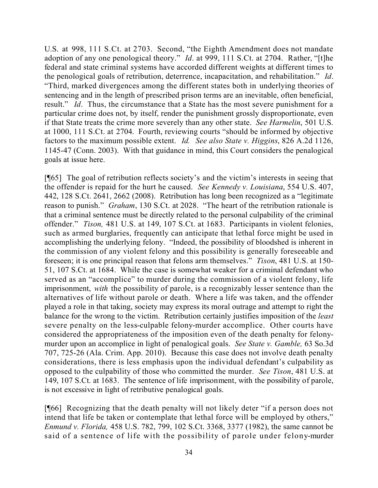U.S. at 998, 111 S.Ct. at 2703. Second, "the Eighth Amendment does not mandate adoption of any one penological theory." *Id*. at 999, 111 S.Ct. at 2704. Rather, "[t]he federal and state criminal systems have accorded different weights at different times to the penological goals of retribution, deterrence, incapacitation, and rehabilitation." *Id*. "Third, marked divergences among the different states both in underlying theories of sentencing and in the length of prescribed prison terms are an inevitable, often beneficial, result." *Id*. Thus, the circumstance that a State has the most severe punishment for a particular crime does not, by itself, render the punishment grossly disproportionate, even if that State treats the crime more severely than any other state. *See Harmelin*, 501 U.S. at 1000, 111 S.Ct. at 2704. Fourth, reviewing courts "should be informed by objective factors to the maximum possible extent. *Id. See also State v. Higgins*, 826 A.2d 1126, 1145-47 (Conn. 2003). With that guidance in mind, this Court considers the penalogical goals at issue here.

[¶65] The goal of retribution reflects society's and the victim's interests in seeing that the offender is repaid for the hurt he caused. *See Kennedy v. Louisiana*, 554 U.S. 407, 442, 128 S.Ct. 2641, 2662 (2008). Retribution has long been recognized as a "legitimate reason to punish." *Graham*, 130 S.Ct. at 2028. "The heart of the retribution rationale is that a criminal sentence must be directly related to the personal culpability of the criminal offender." *Tison,* 481 U.S. at 149, 107 S.Ct. at 1683. Participants in violent felonies, such as armed burglaries, frequently can anticipate that lethal force might be used in accomplishing the underlying felony. "Indeed, the possibility of bloodshed is inherent in the commission of any violent felony and this possibility is generally foreseeable and foreseen; it is one principal reason that felons arm themselves." *Tison*, 481 U.S. at 150- 51, 107 S.Ct. at 1684. While the case is somewhat weaker for a criminal defendant who served as an "accomplice" to murder during the commission of a violent felony, life imprisonment, *with* the possibility of parole, is a recognizably lesser sentence than the alternatives of life without parole or death. Where a life was taken, and the offender played a role in that taking, society may express its moral outrage and attempt to right the balance for the wrong to the victim. Retribution certainly justifies imposition of the *least* severe penalty on the less-culpable felony-murder accomplice. Other courts have considered the appropriateness of the imposition even of the death penalty for felonymurder upon an accomplice in light of penalogical goals. *See State v. Gamble,* 63 So.3d 707, 725-26 (Ala. Crim. App. 2010). Because this case does not involve death penalty considerations, there is less emphasis upon the individual defendant's culpability as opposed to the culpability of those who committed the murder. *See Tison*, 481 U.S. at 149, 107 S.Ct. at 1683. The sentence of life imprisonment, with the possibility of parole, is not excessive in light of retributive penalogical goals.

[¶66] Recognizing that the death penalty will not likely deter "if a person does not intend that life be taken or contemplate that lethal force will be employed by others," *Enmund v. Florida,* 458 U.S. 782, 799, 102 S.Ct. 3368, 3377 (1982), the same cannot be said of a sentence of life with the possibility of parole under felony-murder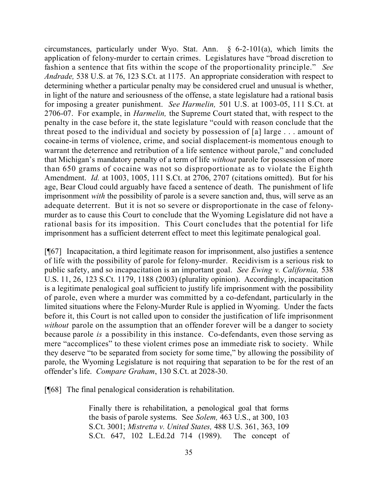circumstances, particularly under Wyo. Stat. Ann. § 6-2-101(a), which limits the application of felony-murder to certain crimes. Legislatures have "broad discretion to fashion a sentence that fits within the scope of the proportionality principle." *See Andrade,* 538 U.S. at 76, 123 S.Ct. at 1175. An appropriate consideration with respect to determining whether a particular penalty may be considered cruel and unusual is whether, in light of the nature and seriousness of the offense, a state legislature had a rational basis for imposing a greater punishment. *See Harmelin,* 501 U.S. at 1003-05, 111 S.Ct. at 2706-07. For example, in *Harmelin,* the Supreme Court stated that, with respect to the penalty in the case before it, the state legislature "could with reason conclude that the threat posed to the individual and society by possession of [a] large . . . amount of cocaine-in terms of violence, crime, and social displacement-is momentous enough to warrant the deterrence and retribution of a life sentence without parole," and concluded that Michigan's mandatory penalty of a term of life *without* parole for possession of more than 650 grams of cocaine was not so disproportionate as to violate the Eighth Amendment. *Id.* at 1003, 1005, 111 S.Ct. at 2706, 2707 (citations omitted). But for his age, Bear Cloud could arguably have faced a sentence of death. The punishment of life imprisonment *with* the possibility of parole is a severe sanction and, thus, will serve as an adequate deterrent. But it is not so severe or disproportionate in the case of felonymurder as to cause this Court to conclude that the Wyoming Legislature did not have a rational basis for its imposition. This Court concludes that the potential for life imprisonment has a sufficient deterrent effect to meet this legitimate penalogical goal.

[¶67] Incapacitation, a third legitimate reason for imprisonment, also justifies a sentence of life with the possibility of parole for felony-murder. Recidivism is a serious risk to public safety, and so incapacitation is an important goal. *See Ewing v. California,* 538 U.S. 11, 26, 123 S.Ct. 1179, 1188 (2003) (plurality opinion). Accordingly, incapacitation is a legitimate penalogical goal sufficient to justify life imprisonment with the possibility of parole, even where a murder was committed by a co-defendant, particularly in the limited situations where the Felony-Murder Rule is applied in Wyoming. Under the facts before it, this Court is not called upon to consider the justification of life imprisonment *without* parole on the assumption that an offender forever will be a danger to society because parole *is* a possibility in this instance. Co-defendants, even those serving as mere "accomplices" to these violent crimes pose an immediate risk to society. While they deserve "to be separated from society for some time," by allowing the possibility of parole, the Wyoming Legislature is not requiring that separation to be for the rest of an offender's life. *Compare Graham*, 130 S.Ct. at 2028-30.

[¶68] The final penalogical consideration is rehabilitation.

Finally there is rehabilitation, a penological goal that forms the basis of parole systems. See *Solem,* 463 U.S., at 300, 103 S.Ct. 3001; *Mistretta v. United States,* 488 U.S. 361, 363, 109 S.Ct. 647, 102 L.Ed.2d 714 (1989). The concept of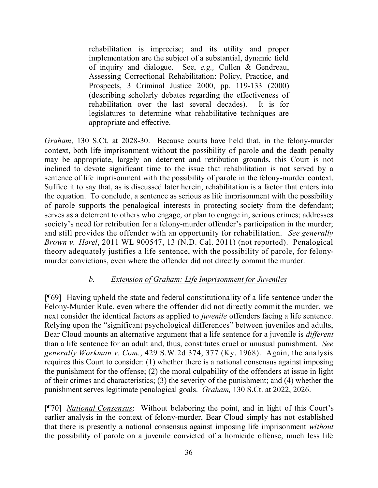rehabilitation is imprecise; and its utility and proper implementation are the subject of a substantial, dynamic field of inquiry and dialogue. See, *e.g.,* Cullen & Gendreau, Assessing Correctional Rehabilitation: Policy, Practice, and Prospects, 3 Criminal Justice 2000, pp. 119-133 (2000) (describing scholarly debates regarding the effectiveness of rehabilitation over the last several decades). It is for legislatures to determine what rehabilitative techniques are appropriate and effective.

*Graham*, 130 S.Ct. at 2028-30. Because courts have held that, in the felony-murder context, both life imprisonment without the possibility of parole and the death penalty may be appropriate, largely on deterrent and retribution grounds, this Court is not inclined to devote significant time to the issue that rehabilitation is not served by a sentence of life imprisonment with the possibility of parole in the felony-murder context. Suffice it to say that, as is discussed later herein, rehabilitation is a factor that enters into the equation. To conclude, a sentence as serious as life imprisonment with the possibility of parole supports the penalogical interests in protecting society from the defendant; serves as a deterrent to others who engage, or plan to engage in, serious crimes; addresses society's need for retribution for a felony-murder offender's participation in the murder; and still provides the offender with an opportunity for rehabilitation. *See generally Brown v. Horel*, 2011 WL 900547, 13 (N.D. Cal. 2011) (not reported). Penalogical theory adequately justifies a life sentence, with the possibility of parole, for felonymurder convictions, even where the offender did not directly commit the murder.

## *b. Extension of Graham: Life Imprisonment for Juveniles*

[¶69] Having upheld the state and federal constitutionality of a life sentence under the Felony-Murder Rule, even where the offender did not directly commit the murder, we next consider the identical factors as applied to *juvenile* offenders facing a life sentence. Relying upon the "significant psychological differences" between juveniles and adults, Bear Cloud mounts an alternative argument that a life sentence for a juvenile is *different* than a life sentence for an adult and, thus, constitutes cruel or unusual punishment. *See generally Workman v. Com.*, 429 S.W.2d 374, 377 (Ky. 1968). Again, the analysis requires this Court to consider: (1) whether there is a national consensus against imposing the punishment for the offense; (2) the moral culpability of the offenders at issue in light of their crimes and characteristics; (3) the severity of the punishment; and (4) whether the punishment serves legitimate penalogical goals. *Graham,* 130 S.Ct. at 2022, 2026.

[¶70] *National Consensus*: Without belaboring the point, and in light of this Court's earlier analysis in the context of felony-murder, Bear Cloud simply has not established that there is presently a national consensus against imposing life imprisonment *without* the possibility of parole on a juvenile convicted of a homicide offense, much less life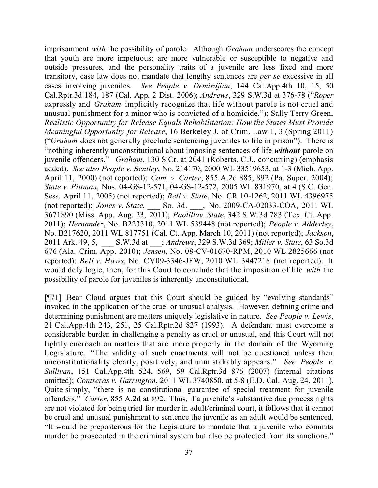imprisonment *with* the possibility of parole. Although *Graham* underscores the concept that youth are more impetuous; are more vulnerable or susceptible to negative and outside pressures, and the personality traits of a juvenile are less fixed and more transitory, case law does not mandate that lengthy sentences are *per se* excessive in all cases involving juveniles. *See People v. Demirdjian*, 144 Cal.App.4th 10, 15, 50 Cal.Rptr.3d 184, 187 (Cal. App. 2 Dist. 2006); *Andrews*, 329 S.W.3d at 376-78 ("*Roper* expressly and *Graham* implicitly recognize that life without parole is not cruel and unusual punishment for a minor who is convicted of a homicide."); Sally Terry Green, *Realistic Opportunity for Release Equals Rehabilitation: How the States Must Provide Meaningful Opportunity for Release*, 16 Berkeley J. of Crim. Law 1, 3 (Spring 2011) ("*Graham* does not generally preclude sentencing juveniles to life in prison"). There is "nothing inherently unconstitutional about imposing sentences of life *without* parole on juvenile offenders." *Graham*, 130 S.Ct. at 2041 (Roberts, C.J., concurring) (emphasis added). *See also People v. Bentley*, No. 214170, 2000 WL 33519653, at 1-3 (Mich. App. April 11, 2000) (not reported); *Com. v. Carter*, 855 A.2d 885, 892 (Pa. Super. 2004); *State v. Pittman*, Nos. 04-GS-12-571, 04-GS-12-572, 2005 WL 831970, at 4 (S.C. Gen. Sess. April 11, 2005) (not reported); *Bell v. State*, No. CR 10-1262, 2011 WL 4396975 (not reported); *Jones v. State*, \_\_\_ So. 3d. \_\_\_, No. 2009-CA-02033-COA, 2011 WL 3671890 (Miss. App. Aug. 23, 2011); *Paolillav. State*, 342 S.W.3d 783 (Tex. Ct. App. 2011); *Hernandez*, No. B223310, 2011 WL 539448 (not reported); *People v. Adderley*, No. B217620, 2011 WL 817751 (Cal. Ct. App. March 10, 2011) (not reported); *Jackson*, 2011 Ark. 49, 5, \_\_\_ S.W.3d at \_\_\_; *Andrews*, 329 S.W.3d 369; *Miller v. State*, 63 So.3d 676 (Ala. Crim. App. 2010); *Jensen*, No. 08-CV-01670-RPM, 2010 WL 2825666 (not reported); *Bell v. Haws*, No. CV09-3346-JFW, 2010 WL 3447218 (not reported). It would defy logic, then, for this Court to conclude that the imposition of life *with* the possibility of parole for juveniles is inherently unconstitutional.

[¶71] Bear Cloud argues that this Court should be guided by "evolving standards" invoked in the application of the cruel or unusual analysis. However, defining crime and determining punishment are matters uniquely legislative in nature. *See People v. Lewis*, 21 Cal.App.4th 243, 251, 25 Cal.Rptr.2d 827 (1993). A defendant must overcome a considerable burden in challenging a penalty as cruel or unusual, and this Court will not lightly encroach on matters that are more properly in the domain of the Wyoming Legislature. "The validity of such enactments will not be questioned unless their unconstitutionality clearly, positively, and unmistakably appears." *See People v. Sullivan*, 151 Cal.App.4th 524, 569, 59 Cal.Rptr.3d 876 (2007) (internal citations omitted); *Contreras v. Harrington*, 2011 WL 3740850, at 5-8 (E.D. Cal. Aug. 24, 2011). Quite simply, "there is no constitutional guarantee of special treatment for juvenile offenders." *Carter*, 855 A.2d at 892. Thus, if a juvenile's substantive due process rights are not violated for being tried for murder in adult/criminal court, it follows that it cannot be cruel and unusual punishment to sentence the juvenile as an adult would be sentenced. "It would be preposterous for the Legislature to mandate that a juvenile who commits murder be prosecuted in the criminal system but also be protected from its sanctions."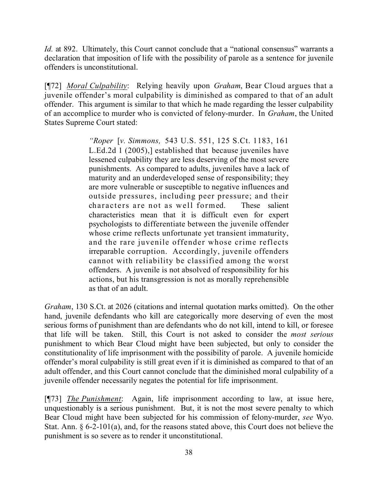*Id.* at 892. Ultimately, this Court cannot conclude that a "national consensus" warrants a declaration that imposition of life with the possibility of parole as a sentence for juvenile offenders is unconstitutional.

[¶72] *Moral Culpability*: Relying heavily upon *Graham*, Bear Cloud argues that a juvenile offender's moral culpability is diminished as compared to that of an adult offender. This argument is similar to that which he made regarding the lesser culpability of an accomplice to murder who is convicted of felony-murder. In *Graham*, the United States Supreme Court stated:

> *"Roper* [*v. Simmons,* 543 U.S. 551, 125 S.Ct. 1183, 161 L.Ed.2d 1 (2005),] established that because juveniles have lessened culpability they are less deserving of the most severe punishments. As compared to adults, juveniles have a lack of maturity and an underdeveloped sense of responsibility; they are more vulnerable or susceptible to negative influences and outside pressures, including peer pressure; and their characters are not as well formed. These salient characteristics mean that it is difficult even for expert psychologists to differentiate between the juvenile offender whose crime reflects unfortunate yet transient immaturity, and the rare juvenile offender whose crime reflects irreparable corruption. Accordingly, juvenile offenders cannot with reliability be classified among the worst offenders. A juvenile is not absolved of responsibility for his actions, but his transgression is not as morally reprehensible as that of an adult.

*Graham*, 130 S.Ct. at 2026 (citations and internal quotation marks omitted). On the other hand, juvenile defendants who kill are categorically more deserving of even the most serious forms of punishment than are defendants who do not kill, intend to kill, or foresee that life will be taken. Still, this Court is not asked to consider the *most serious* punishment to which Bear Cloud might have been subjected, but only to consider the constitutionality of life imprisonment with the possibility of parole. A juvenile homicide offender's moral culpability is still great even if it is diminished as compared to that of an adult offender, and this Court cannot conclude that the diminished moral culpability of a juvenile offender necessarily negates the potential for life imprisonment.

[¶73] *The Punishment*: Again, life imprisonment according to law, at issue here, unquestionably is a serious punishment. But, it is not the most severe penalty to which Bear Cloud might have been subjected for his commission of felony-murder, *see* Wyo. Stat. Ann. § 6-2-101(a), and, for the reasons stated above, this Court does not believe the punishment is so severe as to render it unconstitutional.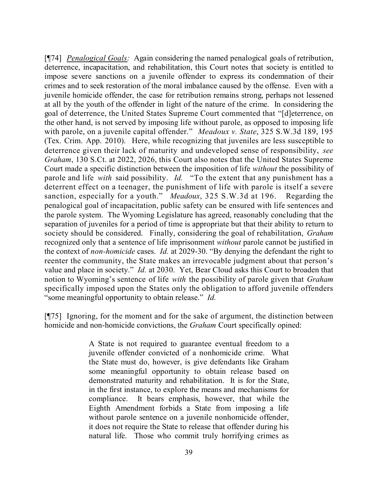[¶74] *Penalogical Goals:* Again considering the named penalogical goals of retribution, deterrence, incapacitation, and rehabilitation, this Court notes that society is entitled to impose severe sanctions on a juvenile offender to express its condemnation of their crimes and to seek restoration of the moral imbalance caused by the offense. Even with a juvenile homicide offender, the case for retribution remains strong, perhaps not lessened at all by the youth of the offender in light of the nature of the crime. In considering the goal of deterrence, the United States Supreme Court commented that "[d]eterrence, on the other hand, is not served by imposing life without parole, as opposed to imposing life with parole, on a juvenile capital offender." *Meadoux v. State*, 325 S.W.3d 189, 195 (Tex. Crim. App. 2010). Here, while recognizing that juveniles are less susceptible to deterrence given their lack of maturity and undeveloped sense of responsibility, *see Graham*, 130 S.Ct. at 2022, 2026, this Court also notes that the United States Supreme Court made a specific distinction between the imposition of life *without* the possibility of parole and life *with* said possibility. *Id.* "To the extent that any punishment has a deterrent effect on a teenager, the punishment of life with parole is itself a severe sanction, especially for a youth." *Meadoux*, 325 S.W.3d at 196. Regarding the penalogical goal of incapacitation, public safety can be ensured with life sentences and the parole system. The Wyoming Legislature has agreed, reasonably concluding that the separation of juveniles for a period of time is appropriate but that their ability to return to society should be considered. Finally, considering the goal of rehabilitation, *Graham*  recognized only that a sentence of life imprisonment *without* parole cannot be justified in the context of *non-homicide* cases. *Id.* at 2029-30. "By denying the defendant the right to reenter the community, the State makes an irrevocable judgment about that person's value and place in society." *Id.* at 2030. Yet, Bear Cloud asks this Court to broaden that notion to Wyoming's sentence of life *with* the possibility of parole given that *Graham*  specifically imposed upon the States only the obligation to afford juvenile offenders "some meaningful opportunity to obtain release." *Id.*

[¶75] Ignoring, for the moment and for the sake of argument, the distinction between homicide and non-homicide convictions, the *Graham* Court specifically opined:

> A State is not required to guarantee eventual freedom to a juvenile offender convicted of a nonhomicide crime. What the State must do, however, is give defendants like Graham some meaningful opportunity to obtain release based on demonstrated maturity and rehabilitation. It is for the State, in the first instance, to explore the means and mechanisms for compliance. It bears emphasis, however, that while the Eighth Amendment forbids a State from imposing a life without parole sentence on a juvenile nonhomicide offender, it does not require the State to release that offender during his natural life. Those who commit truly horrifying crimes as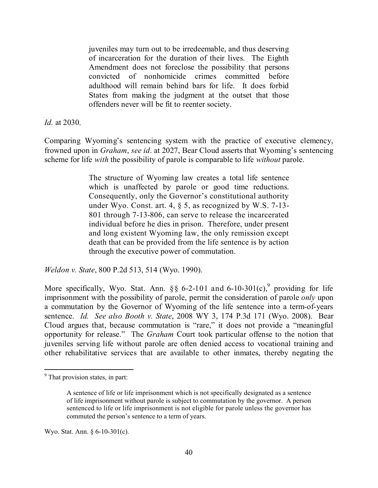juveniles may turn out to be irredeemable, and thus deserving of incarceration for the duration of their lives. The Eighth Amendment does not foreclose the possibility that persons convicted of nonhomicide crimes committed before adulthood will remain behind bars for life. It does forbid States from making the judgment at the outset that those offenders never will be fit to reenter society.

*Id.* at 2030.

Comparing Wyoming's sentencing system with the practice of executive clemency, frowned upon in *Graham*, *see id*. at 2027, Bear Cloud asserts that Wyoming's sentencing scheme for life *with* the possibility of parole is comparable to life *without* parole.

> The structure of Wyoming law creates a total life sentence which is unaffected by parole or good time reductions. Consequently, only the Governor's constitutional authority under Wyo. Const. art. 4, § 5, as recognized by W.S. 7-13- 801 through 7-13-806, can serve to release the incarcerated individual before he dies in prison. Therefore, under present and long existent Wyoming law, the only remission except death that can be provided from the life sentence is by action through the executive power of commutation.

*Weldon v. State*, 800 P.2d 513, 514 (Wyo. 1990).

More specifically, Wyo. Stat. Ann.  $\S$ § 6-2-101 and 6-10-301(c),<sup>9</sup> providing for life imprisonment with the possibility of parole, permit the consideration of parole *only* upon a commutation by the Governor of Wyoming of the life sentence into a term-of-years sentence. *Id. See also Booth v. State*, 2008 WY 3, 174 P.3d 171 (Wyo. 2008). Bear Cloud argues that, because commutation is "rare," it does not provide a "meaningful opportunity for release." The *Graham* Court took particular offense to the notion that juveniles serving life without parole are often denied access to vocational training and other rehabilitative services that are available to other inmates, thereby negating the

 $\overline{a}$ 

Wyo. Stat. Ann. § 6-10-301(c).

<sup>&</sup>lt;sup>9</sup> That provision states, in part:

A sentence of life or life imprisonment which is not specifically designated as a sentence of life imprisonment without parole is subject to commutation by the governor. A person sentenced to life or life imprisonment is not eligible for parole unless the governor has commuted the person's sentence to a term of years.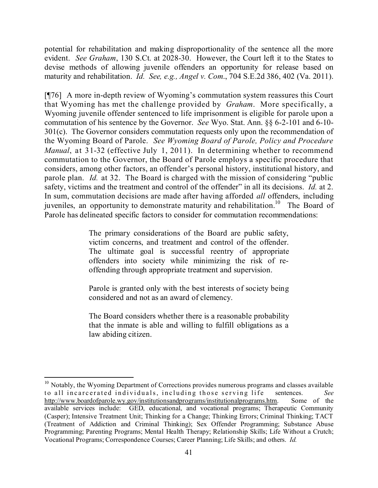potential for rehabilitation and making disproportionality of the sentence all the more evident. *See Graham*, 130 S.Ct. at 2028-30. However, the Court left it to the States to devise methods of allowing juvenile offenders an opportunity for release based on maturity and rehabilitation. *Id. See, e.g., Angel v. Com*., 704 S.E.2d 386, 402 (Va. 2011).

[¶76] A more in-depth review of Wyoming's commutation system reassures this Court that Wyoming has met the challenge provided by *Graham*. More specifically, a Wyoming juvenile offender sentenced to life imprisonment is eligible for parole upon a commutation of his sentence by the Governor. *See* Wyo. Stat. Ann. §§ 6-2-101 and 6-10- 301(c). The Governor considers commutation requests only upon the recommendation of the Wyoming Board of Parole. *See Wyoming Board of Parole, Policy and Procedure Manual*, at 31-32 (effective July 1, 2011). In determining whether to recommend commutation to the Governor, the Board of Parole employs a specific procedure that considers, among other factors, an offender's personal history, institutional history, and parole plan. *Id.* at 32. The Board is charged with the mission of considering "public safety, victims and the treatment and control of the offender" in all its decisions. *Id.* at 2. In sum, commutation decisions are made after having afforded *all* offenders, including juveniles, an opportunity to demonstrate maturity and rehabilitation.<sup>10</sup> The Board of Parole has delineated specific factors to consider for commutation recommendations:

> The primary considerations of the Board are public safety, victim concerns, and treatment and control of the offender. The ultimate goal is successful reentry of appropriate offenders into society while minimizing the risk of reoffending through appropriate treatment and supervision.

> Parole is granted only with the best interests of society being considered and not as an award of clemency.

> The Board considers whether there is a reasonable probability that the inmate is able and willing to fulfill obligations as a law abiding citizen.

 $\overline{a}$ 

 $10$  Notably, the Wyoming Department of Corrections provides numerous programs and classes available to all incarcerated individuals, including those serving life sentences. *See* http://www.boardofparole.wy.gov/institutionsandprograms/institutionalprograms.htm. Some of the http://www.boardofparole.wy.gov/institutionsandprograms/institutionalprograms.htm. available services include: GED, educational, and vocational programs; Therapeutic Community (Casper); Intensive Treatment Unit; Thinking for a Change; Thinking Errors; Criminal Thinking; TACT (Treatment of Addiction and Criminal Thinking); Sex Offender Programming; Substance Abuse Programming; Parenting Programs; Mental Health Therapy; Relationship Skills; Life Without a Crutch; Vocational Programs; Correspondence Courses; Career Planning; Life Skills; and others. *Id.*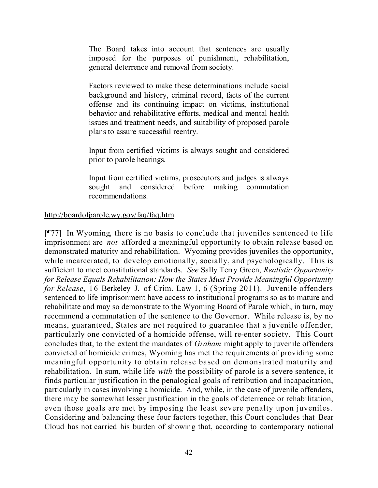The Board takes into account that sentences are usually imposed for the purposes of punishment, rehabilitation, general deterrence and removal from society.

Factors reviewed to make these determinations include social background and history, criminal record, facts of the current offense and its continuing impact on victims, institutional behavior and rehabilitative efforts, medical and mental health issues and treatment needs, and suitability of proposed parole plans to assure successful reentry.

Input from certified victims is always sought and considered prior to parole hearings.

Input from certified victims, prosecutors and judges is always sought and considered before making commutation recommendations.

### http://boardofparole.wy.gov/faq/faq.htm

[¶77] In Wyoming, there is no basis to conclude that juveniles sentenced to life imprisonment are *not* afforded a meaningful opportunity to obtain release based on demonstrated maturity and rehabilitation. Wyoming provides juveniles the opportunity, while incarcerated, to develop emotionally, socially, and psychologically. This is sufficient to meet constitutional standards. *See* Sally Terry Green, *Realistic Opportunity for Release Equals Rehabilitation: How the States Must Provide Meaningful Opportunity for Release*, 16 Berkeley J. of Crim. Law 1, 6 (Spring 2011). Juvenile offenders sentenced to life imprisonment have access to institutional programs so as to mature and rehabilitate and may so demonstrate to the Wyoming Board of Parole which, in turn, may recommend a commutation of the sentence to the Governor. While release is, by no means, guaranteed, States are not required to guarantee that a juvenile offender, particularly one convicted of a homicide offense, will re-enter society. This Court concludes that, to the extent the mandates of *Graham* might apply to juvenile offenders convicted of homicide crimes, Wyoming has met the requirements of providing some meaningful opportunity to obtain release based on demonstrated maturity and rehabilitation. In sum, while life *with* the possibility of parole is a severe sentence, it finds particular justification in the penalogical goals of retribution and incapacitation, particularly in cases involving a homicide. And, while, in the case of juvenile offenders, there may be somewhat lesser justification in the goals of deterrence or rehabilitation, even those goals are met by imposing the least severe penalty upon juveniles. Considering and balancing these four factors together, this Court concludes that Bear Cloud has not carried his burden of showing that, according to contemporary national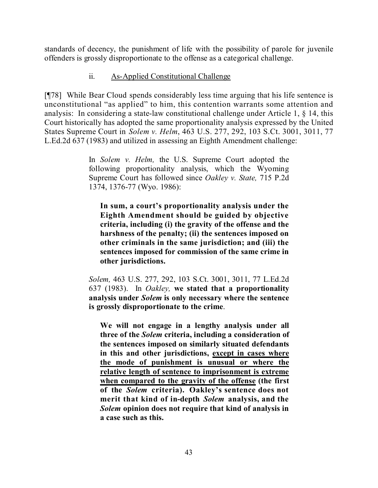standards of decency, the punishment of life with the possibility of parole for juvenile offenders is grossly disproportionate to the offense as a categorical challenge.

### ii. As-Applied Constitutional Challenge

[¶78] While Bear Cloud spends considerably less time arguing that his life sentence is unconstitutional "as applied" to him, this contention warrants some attention and analysis: In considering a state-law constitutional challenge under Article 1, § 14, this Court historically has adopted the same proportionality analysis expressed by the United States Supreme Court in *Solem v. Helm*, 463 U.S. 277, 292, 103 S.Ct. 3001, 3011, 77 L.Ed.2d 637 (1983) and utilized in assessing an Eighth Amendment challenge:

> In *Solem v. Helm,* the U.S. Supreme Court adopted the following proportionality analysis, which the Wyoming Supreme Court has followed since *Oakley v. State,* 715 P.2d 1374, 1376-77 (Wyo. 1986):

**In sum, a court's proportionality analysis under the Eighth Amendment should be guided by objective criteria, including (i) the gravity of the offense and the harshness of the penalty; (ii) the sentences imposed on other criminals in the same jurisdiction; and (iii) the sentences imposed for commission of the same crime in other jurisdictions.**

*Solem,* 463 U.S. 277, 292, 103 S.Ct. 3001, 3011, 77 L.Ed.2d 637 (1983). In *Oakley,* **we stated that a proportionality analysis under** *Solem* **is only necessary where the sentence is grossly disproportionate to the crime**.

**We will not engage in a lengthy analysis under all three of the** *Solem* **criteria, including a consideration of the sentences imposed on similarly situated defendants in this and other jurisdictions, except in cases where the mode of punishment is unusual or where the relative length of sentence to imprisonment is extreme when compared to the gravity of the offense (the first of the** *Solem* **criteria). Oakley's sentence does not merit that kind of in-depth** *Solem* **analysis, and the**  *Solem* **opinion does not require that kind of analysis in a case such as this.**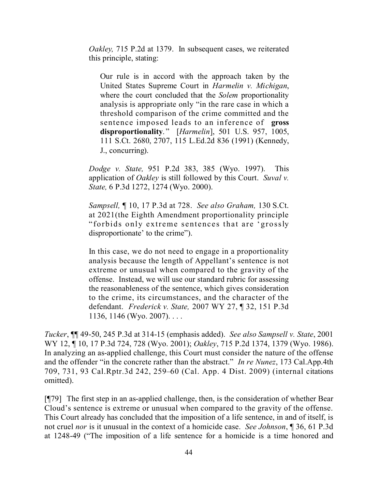*Oakley,* 715 P.2d at 1379. In subsequent cases, we reiterated this principle, stating:

Our rule is in accord with the approach taken by the United States Supreme Court in *Harmelin v. Michigan*, where the court concluded that the *Solem* proportionality analysis is appropriate only "in the rare case in which a threshold comparison of the crime committed and the sentence imposed leads to an inference of **gross disproportionality**." [*Harmelin*], 501 U.S. 957, 1005, 111 S.Ct. 2680, 2707, 115 L.Ed.2d 836 (1991) (Kennedy, J., concurring).

*Dodge v. State,* 951 P.2d 383, 385 (Wyo. 1997). This application of *Oakley* is still followed by this Court. *Suval v. State,* 6 P.3d 1272, 1274 (Wyo. 2000).

*Sampsell,* ¶ 10, 17 P.3d at 728. *See also Graham,* 130 S.Ct. at 2021(the Eighth Amendment proportionality principle "forbids only extreme sentences that are 'grossly disproportionate' to the crime").

In this case, we do not need to engage in a proportionality analysis because the length of Appellant's sentence is not extreme or unusual when compared to the gravity of the offense. Instead, we will use our standard rubric for assessing the reasonableness of the sentence, which gives consideration to the crime, its circumstances, and the character of the defendant. *Frederick v. State,* 2007 WY 27, ¶ 32, 151 P.3d 1136, 1146 (Wyo. 2007). . . .

*Tucker*, ¶¶ 49-50, 245 P.3d at 314-15 (emphasis added). *See also Sampsell v. State*, 2001 WY 12, ¶ 10, 17 P.3d 724, 728 (Wyo. 2001); *Oakley*, 715 P.2d 1374, 1379 (Wyo. 1986). In analyzing an as-applied challenge, this Court must consider the nature of the offense and the offender "in the concrete rather than the abstract." *In re Nunez*, 173 Cal.App.4th 709, 731, 93 Cal.Rptr.3d 242, 259–60 (Cal. App. 4 Dist. 2009) (internal citations omitted).

[¶79] The first step in an as-applied challenge, then, is the consideration of whether Bear Cloud's sentence is extreme or unusual when compared to the gravity of the offense. This Court already has concluded that the imposition of a life sentence, in and of itself, is not cruel *nor* is it unusual in the context of a homicide case. *See Johnson*, ¶ 36, 61 P.3d at 1248-49 ("The imposition of a life sentence for a homicide is a time honored and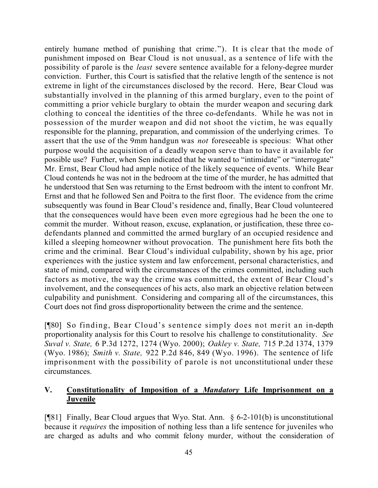entirely humane method of punishing that crime."). It is clear that the mode of punishment imposed on Bear Cloud is not unusual, as a sentence of life with the possibility of parole is the *least* severe sentence available for a felony-degree murder conviction. Further, this Court is satisfied that the relative length of the sentence is not extreme in light of the circumstances disclosed by the record. Here, Bear Cloud was substantially involved in the planning of this armed burglary, even to the point of committing a prior vehicle burglary to obtain the murder weapon and securing dark clothing to conceal the identities of the three co-defendants. While he was not in possession of the murder weapon and did not shoot the victim, he was equally responsible for the planning, preparation, and commission of the underlying crimes. To assert that the use of the 9mm handgun was *not* foreseeable is specious: What other purpose would the acquisition of a deadly weapon serve than to have it available for possible use? Further, when Sen indicated that he wanted to "intimidate" or "interrogate" Mr. Ernst, Bear Cloud had ample notice of the likely sequence of events. While Bear Cloud contends he was not in the bedroom at the time of the murder, he has admitted that he understood that Sen was returning to the Ernst bedroom with the intent to confront Mr. Ernst and that he followed Sen and Poitra to the first floor. The evidence from the crime subsequently was found in Bear Cloud's residence and, finally, Bear Cloud volunteered that the consequences would have been even more egregious had he been the one to commit the murder. Without reason, excuse, explanation, or justification, these three codefendants planned and committed the armed burglary of an occupied residence and killed a sleeping homeowner without provocation. The punishment here fits both the crime and the criminal. Bear Cloud's individual culpability, shown by his age, prior experiences with the justice system and law enforcement, personal characteristics, and state of mind, compared with the circumstances of the crimes committed, including such factors as motive, the way the crime was committed, the extent of Bear Cloud's involvement, and the consequences of his acts, also mark an objective relation between culpability and punishment. Considering and comparing all of the circumstances, this Court does not find gross disproportionality between the crime and the sentence.

[¶80] So finding, Bear Cloud's sentence simply does not merit an in-depth proportionality analysis for this Court to resolve his challenge to constitutionality. *See Suval v. State,* 6 P.3d 1272, 1274 (Wyo. 2000); *Oakley v. State,* 715 P.2d 1374, 1379 (Wyo. 1986); *Smith v. State,* 922 P.2d 846, 849 (Wyo. 1996). The sentence of life imprisonment with the possibility of parole is not unconstitutional under these circumstances.

### **V. Constitutionality of Imposition of a** *Mandatory* **Life Imprisonment on a Juvenile**

[ $[$ [81] Finally, Bear Cloud argues that Wyo. Stat. Ann.  $\frac{6}{5}$  6-2-101(b) is unconstitutional because it *requires* the imposition of nothing less than a life sentence for juveniles who are charged as adults and who commit felony murder, without the consideration of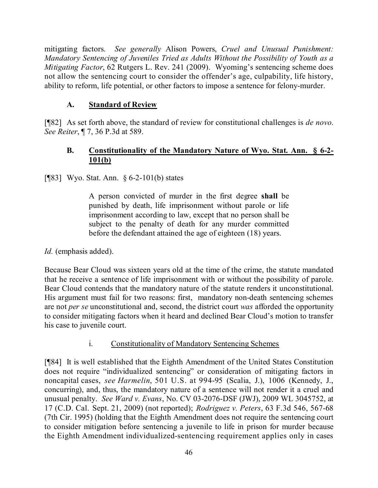mitigating factors. *See generally* Alison Powers, *Cruel and Unusual Punishment: Mandatory Sentencing of Juveniles Tried as Adults Without the Possibility of Youth as a Mitigating Factor*, 62 Rutgers L. Rev. 241 (2009). Wyoming's sentencing scheme does not allow the sentencing court to consider the offender's age, culpability, life history, ability to reform, life potential, or other factors to impose a sentence for felony-murder.

# **A. Standard of Review**

[¶82] As set forth above, the standard of review for constitutional challenges is *de novo*. *See Reiter*, ¶ 7, 36 P.3d at 589.

## **B. Constitutionality of the Mandatory Nature of Wyo. Stat. Ann. § 6-2- 101(b)**

[¶83] Wyo. Stat. Ann. § 6-2-101(b) states

A person convicted of murder in the first degree **shall** be punished by death, life imprisonment without parole or life imprisonment according to law, except that no person shall be subject to the penalty of death for any murder committed before the defendant attained the age of eighteen (18) years.

*Id.* (emphasis added).

Because Bear Cloud was sixteen years old at the time of the crime, the statute mandated that he receive a sentence of life imprisonment with or without the possibility of parole. Bear Cloud contends that the mandatory nature of the statute renders it unconstitutional. His argument must fail for two reasons: first, mandatory non-death sentencing schemes are not *per se* unconstitutional and, second, the district court *was* afforded the opportunity to consider mitigating factors when it heard and declined Bear Cloud's motion to transfer his case to juvenile court.

## i. Constitutionality of Mandatory Sentencing Schemes

[¶84] It is well established that the Eighth Amendment of the United States Constitution does not require "individualized sentencing" or consideration of mitigating factors in noncapital cases, *see Harmelin*, 501 U.S. at 994-95 (Scalia, J.), 1006 (Kennedy, J., concurring), and, thus, the mandatory nature of a sentence will not render it a cruel and unusual penalty. *See Ward v. Evans*, No. CV 03-2076-DSF (JWJ), 2009 WL 3045752, at 17 (C.D. Cal. Sept. 21, 2009) (not reported); *Rodriguez v. Peters*, 63 F.3d 546, 567-68 (7th Cir. 1995) (holding that the Eighth Amendment does not require the sentencing court to consider mitigation before sentencing a juvenile to life in prison for murder because the Eighth Amendment individualized-sentencing requirement applies only in cases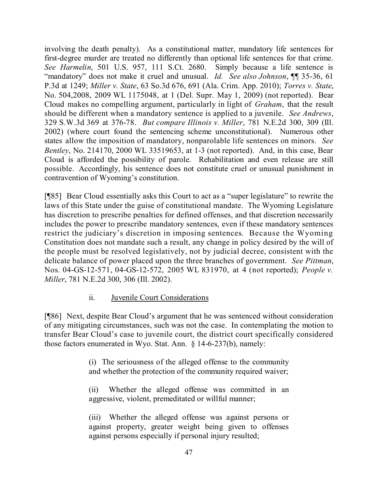involving the death penalty). As a constitutional matter, mandatory life sentences for first-degree murder are treated no differently than optional life sentences for that crime. *See Harmelin*, 501 U.S. 957, 111 S.Ct. 2680. Simply because a life sentence is "mandatory" does not make it cruel and unusual. *Id. See also Johnson*, ¶¶ 35-36, 61 P.3d at 1249; *Miller v. State*, 63 So.3d 676, 691 (Ala. Crim. App. 2010); *Torres v. State*, No. 504,2008, 2009 WL 1175048, at 1 (Del. Supr. May 1, 2009) (not reported). Bear Cloud makes no compelling argument, particularly in light of *Graham*, that the result should be different when a mandatory sentence is applied to a juvenile. *See Andrews*, 329 S.W.3d 369 at 376-78. *But compare Illinois v. Miller*, 781 N.E.2d 300, 309 (Ill. 2002) (where court found the sentencing scheme unconstitutional). Numerous other states allow the imposition of mandatory, nonparolable life sentences on minors. *See Bentley*, No. 214170, 2000 WL 33519653, at 1-3 (not reported). And, in this case, Bear Cloud is afforded the possibility of parole. Rehabilitation and even release are still possible. Accordingly, his sentence does not constitute cruel or unusual punishment in contravention of Wyoming's constitution.

[¶85] Bear Cloud essentially asks this Court to act as a "super legislature" to rewrite the laws of this State under the guise of constitutional mandate. The Wyoming Legislature has discretion to prescribe penalties for defined offenses, and that discretion necessarily includes the power to prescribe mandatory sentences, even if these mandatory sentences restrict the judiciary's discretion in imposing sentences. Because the Wyoming Constitution does not mandate such a result, any change in policy desired by the will of the people must be resolved legislatively, not by judicial decree, consistent with the delicate balance of power placed upon the three branches of government. *See Pittman*, Nos. 04-GS-12-571, 04-GS-12-572, 2005 WL 831970, at 4 (not reported); *People v. Miller*, 781 N.E.2d 300, 306 (Ill. 2002).

### ii. Juvenile Court Considerations

[¶86] Next, despite Bear Cloud's argument that he was sentenced without consideration of any mitigating circumstances, such was not the case. In contemplating the motion to transfer Bear Cloud's case to juvenile court, the district court specifically considered those factors enumerated in Wyo. Stat. Ann. § 14-6-237(b), namely:

> (i) The seriousness of the alleged offense to the community and whether the protection of the community required waiver;

> (ii) Whether the alleged offense was committed in an aggressive, violent, premeditated or willful manner;

> (iii) Whether the alleged offense was against persons or against property, greater weight being given to offenses against persons especially if personal injury resulted;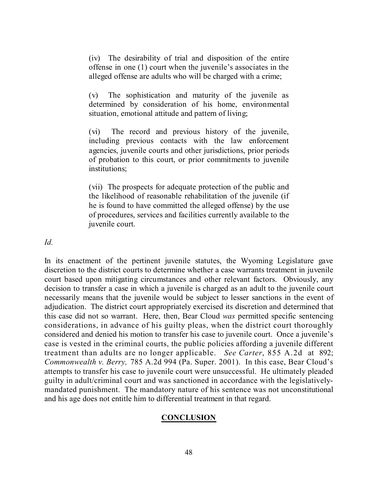(iv) The desirability of trial and disposition of the entire offense in one (1) court when the juvenile's associates in the alleged offense are adults who will be charged with a crime;

(v) The sophistication and maturity of the juvenile as determined by consideration of his home, environmental situation, emotional attitude and pattern of living;

(vi) The record and previous history of the juvenile, including previous contacts with the law enforcement agencies, juvenile courts and other jurisdictions, prior periods of probation to this court, or prior commitments to juvenile institutions;

(vii) The prospects for adequate protection of the public and the likelihood of reasonable rehabilitation of the juvenile (if he is found to have committed the alleged offense) by the use of procedures, services and facilities currently available to the juvenile court.

*Id.*

In its enactment of the pertinent juvenile statutes, the Wyoming Legislature gave discretion to the district courts to determine whether a case warrants treatment in juvenile court based upon mitigating circumstances and other relevant factors. Obviously, any decision to transfer a case in which a juvenile is charged as an adult to the juvenile court necessarily means that the juvenile would be subject to lesser sanctions in the event of adjudication. The district court appropriately exercised its discretion and determined that this case did not so warrant. Here, then, Bear Cloud *was* permitted specific sentencing considerations, in advance of his guilty pleas, when the district court thoroughly considered and denied his motion to transfer his case to juvenile court. Once a juvenile's case is vested in the criminal courts, the public policies affording a juvenile different treatment than adults are no longer applicable. *See Carter*, 855 A.2d at 892; *Commonwealth v. Berry,* 785 A.2d 994 (Pa. Super. 2001). In this case, Bear Cloud's attempts to transfer his case to juvenile court were unsuccessful. He ultimately pleaded guilty in adult/criminal court and was sanctioned in accordance with the legislativelymandated punishment. The mandatory nature of his sentence was not unconstitutional and his age does not entitle him to differential treatment in that regard.

# **CONCLUSION**